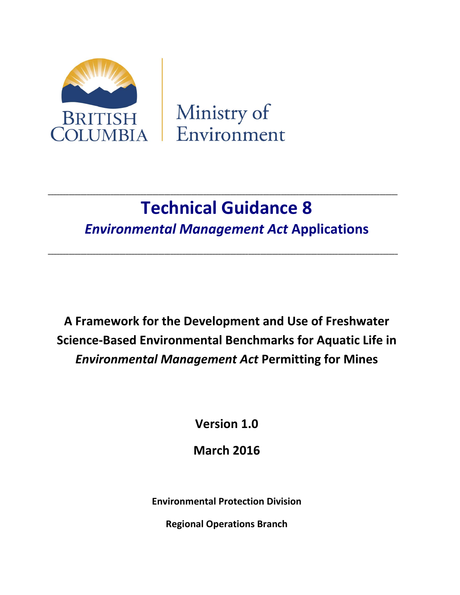

Ministry of Environment

# **Technical Guidance 8** *Environmental Management Act* **Applications**

**\_\_\_\_\_\_\_\_\_\_\_\_\_\_\_\_\_\_\_\_\_\_\_\_\_\_\_\_\_\_\_\_\_\_\_\_\_\_\_\_\_\_\_\_\_\_\_\_\_\_\_\_\_\_\_\_\_\_\_\_\_\_\_\_\_\_\_\_\_\_\_\_\_\_\_\_\_\_\_\_\_\_\_\_\_\_\_\_\_\_\_\_\_\_\_\_\_\_\_\_\_\_\_\_\_\_\_\_\_\_\_\_\_\_\_\_\_**

**\_\_\_\_\_\_\_\_\_\_\_\_\_\_\_\_\_\_\_\_\_\_\_\_\_\_\_\_\_\_\_\_\_\_\_\_\_\_\_\_\_\_\_\_\_\_\_\_\_\_\_\_\_\_\_\_\_\_\_\_\_\_\_\_\_\_\_\_\_\_\_\_\_\_\_\_\_\_\_\_\_\_\_\_\_\_\_\_\_\_\_\_\_\_\_\_\_\_\_\_\_\_\_\_\_\_\_\_\_\_\_\_\_\_\_\_\_**

**A Framework for the Development and Use of Freshwater Science-Based Environmental Benchmarks for Aquatic Life in**  *Environmental Management Act* **Permitting for Mines** 

**Version 1.0**

**March 2016**

**Environmental Protection Division**

**Regional Operations Branch**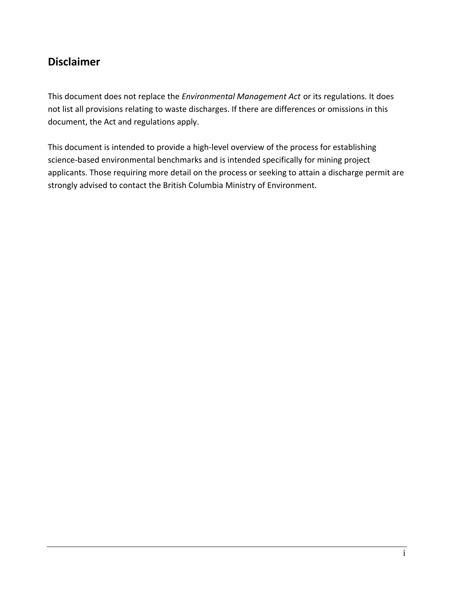### **Disclaimer**

This document does not replace the *Environmental Management Act* or its regulations. It does not list all provisions relating to waste discharges. If there are differences or omissions in this document, the Act and regulations apply.

This document is intended to provide a high-level overview of the process for establishing science-based environmental benchmarks and is intended specifically for mining project applicants. Those requiring more detail on the process or seeking to attain a discharge permit are strongly advised to contact the British Columbia Ministry of Environment.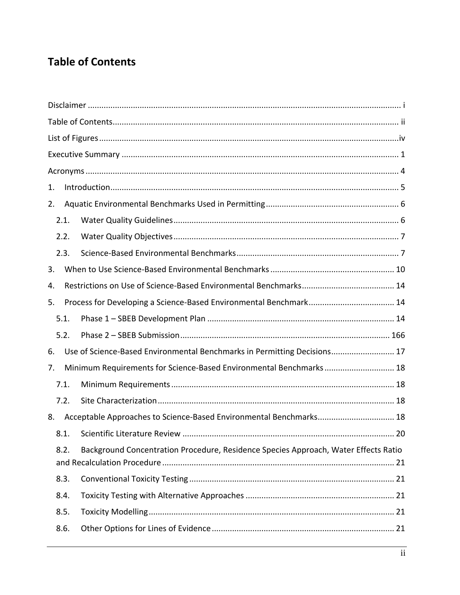## **Table of Contents**

| 1.   |                                                                                     |  |
|------|-------------------------------------------------------------------------------------|--|
| 2.   |                                                                                     |  |
| 2.1. |                                                                                     |  |
| 2.2. |                                                                                     |  |
| 2.3. |                                                                                     |  |
| 3.   |                                                                                     |  |
| 4.   |                                                                                     |  |
| 5.   |                                                                                     |  |
| 5.1. |                                                                                     |  |
| 5.2. |                                                                                     |  |
| 6.   | Use of Science-Based Environmental Benchmarks in Permitting Decisions 17            |  |
| 7.   | Minimum Requirements for Science-Based Environmental Benchmarks 18                  |  |
| 7.1. |                                                                                     |  |
| 7.2. |                                                                                     |  |
| 8.   | Acceptable Approaches to Science-Based Environmental Benchmarks 18                  |  |
| 8.1. |                                                                                     |  |
| 8.2. | Background Concentration Procedure, Residence Species Approach, Water Effects Ratio |  |
| 8.3. |                                                                                     |  |
| 8.4. |                                                                                     |  |
| 8.5. |                                                                                     |  |
| 8.6. |                                                                                     |  |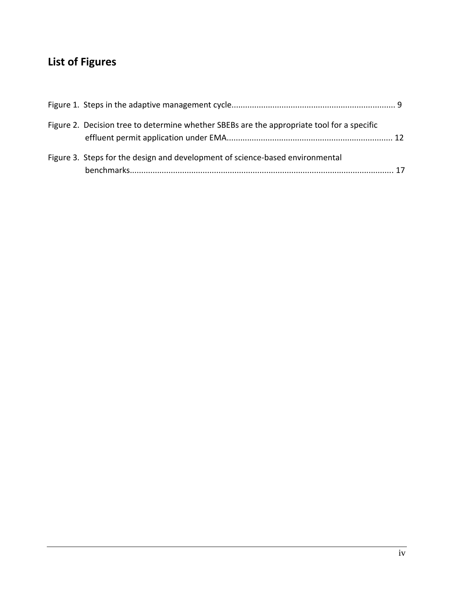## **List of Figures**

| Figure 2. Decision tree to determine whether SBEBs are the appropriate tool for a specific |  |
|--------------------------------------------------------------------------------------------|--|
| Figure 3. Steps for the design and development of science-based environmental              |  |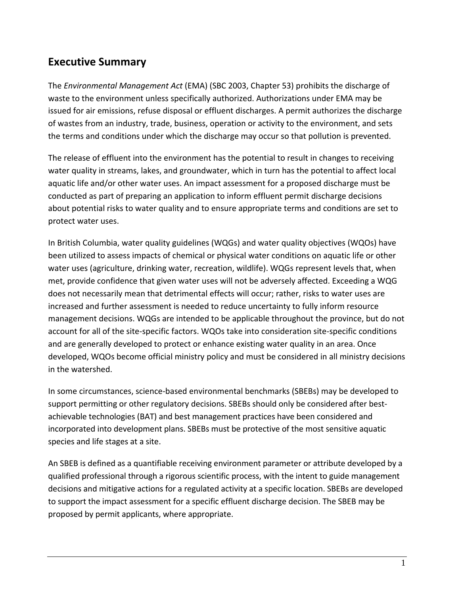### **Executive Summary**

The *Environmental Management Act* (EMA) (SBC 2003, Chapter 53) prohibits the discharge of waste to the environment unless specifically authorized. Authorizations under EMA may be issued for air emissions, refuse disposal or effluent discharges. A permit authorizes the discharge of wastes from an industry, trade, business, operation or activity to the environment, and sets the terms and conditions under which the discharge may occur so that pollution is prevented.

The release of effluent into the environment has the potential to result in changes to receiving water quality in streams, lakes, and groundwater, which in turn has the potential to affect local aquatic life and/or other water uses. An impact assessment for a proposed discharge must be conducted as part of preparing an application to inform effluent permit discharge decisions about potential risks to water quality and to ensure appropriate terms and conditions are set to protect water uses.

In British Columbia, water quality guidelines (WQGs) and water quality objectives (WQOs) have been utilized to assess impacts of chemical or physical water conditions on aquatic life or other water uses (agriculture, drinking water, recreation, wildlife). WQGs represent levels that, when met, provide confidence that given water uses will not be adversely affected. Exceeding a WQG does not necessarily mean that detrimental effects will occur; rather, risks to water uses are increased and further assessment is needed to reduce uncertainty to fully inform resource management decisions. WQGs are intended to be applicable throughout the province, but do not account for all of the site-specific factors. WQOs take into consideration site-specific conditions and are generally developed to protect or enhance existing water quality in an area. Once developed, WQOs become official ministry policy and must be considered in all ministry decisions in the watershed.

In some circumstances, science-based environmental benchmarks (SBEBs) may be developed to support permitting or other regulatory decisions. SBEBs should only be considered after bestachievable technologies (BAT) and best management practices have been considered and incorporated into development plans. SBEBs must be protective of the most sensitive aquatic species and life stages at a site.

An SBEB is defined as a quantifiable receiving environment parameter or attribute developed by a qualified professional through a rigorous scientific process, with the intent to guide management decisions and mitigative actions for a regulated activity at a specific location. SBEBs are developed to support the impact assessment for a specific effluent discharge decision. The SBEB may be proposed by permit applicants, where appropriate.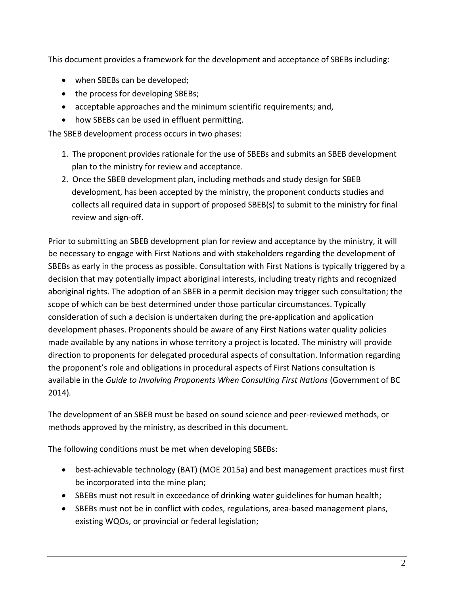This document provides a framework for the development and acceptance of SBEBs including:

- when SBEBs can be developed;
- the process for developing SBEBs;
- acceptable approaches and the minimum scientific requirements; and,
- how SBEBs can be used in effluent permitting.

The SBEB development process occurs in two phases:

- 1. The proponent provides rationale for the use of SBEBs and submits an SBEB development plan to the ministry for review and acceptance.
- 2. Once the SBEB development plan, including methods and study design for SBEB development, has been accepted by the ministry, the proponent conducts studies and collects all required data in support of proposed SBEB(s) to submit to the ministry for final review and sign-off.

Prior to submitting an SBEB development plan for review and acceptance by the ministry, it will be necessary to engage with First Nations and with stakeholders regarding the development of SBEBs as early in the process as possible. Consultation with First Nations is typically triggered by a decision that may potentially impact aboriginal interests, including treaty rights and recognized aboriginal rights. The adoption of an SBEB in a permit decision may trigger such consultation; the scope of which can be best determined under those particular circumstances. Typically consideration of such a decision is undertaken during the pre-application and application development phases. Proponents should be aware of any First Nations water quality policies made available by any nations in whose territory a project is located. The ministry will provide direction to proponents for delegated procedural aspects of consultation. Information regarding the proponent's role and obligations in procedural aspects of First Nations consultation is available in the *Guide to Involving Proponents When Consulting First Nations* (Government of BC 2014)*.*

The development of an SBEB must be based on sound science and peer-reviewed methods, or methods approved by the ministry, as described in this document.

The following conditions must be met when developing SBEBs:

- best-achievable technology (BAT) (MOE 2015a) and best management practices must first be incorporated into the mine plan;
- SBEBs must not result in exceedance of drinking water guidelines for human health;
- SBEBs must not be in conflict with codes, regulations, area-based management plans, existing WQOs, or provincial or federal legislation;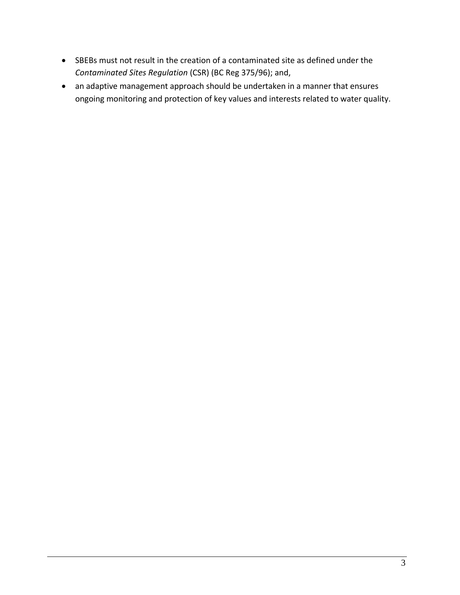- SBEBs must not result in the creation of a contaminated site as defined under the *Contaminated Sites Regulation* (CSR) (BC Reg 375/96); and,
- an adaptive management approach should be undertaken in a manner that ensures ongoing monitoring and protection of key values and interests related to water quality.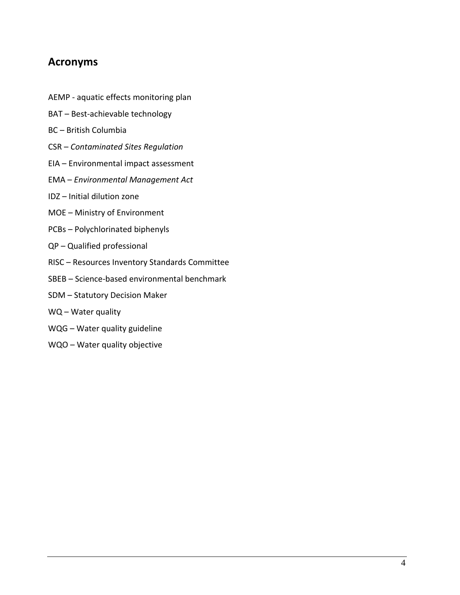### **Acronyms**

- AEMP aquatic effects monitoring plan
- BAT Best-achievable technology
- BC British Columbia
- CSR *Contaminated Sites Regulation*
- EIA Environmental impact assessment
- EMA *Environmental Management Act*
- IDZ Initial dilution zone
- MOE Ministry of Environment
- PCBs Polychlorinated biphenyls
- QP Qualified professional
- RISC Resources Inventory Standards Committee
- SBEB Science-based environmental benchmark
- SDM Statutory Decision Maker
- WQ Water quality
- WQG Water quality guideline
- WQO Water quality objective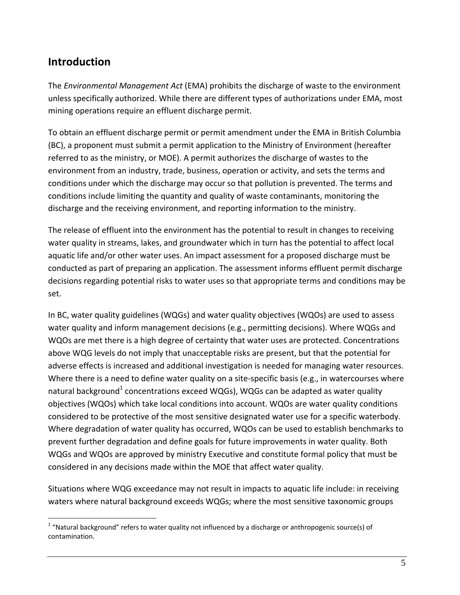### **Introduction**

 $\overline{a}$ 

The *Environmental Management Act* (EMA) prohibits the discharge of waste to the environment unless specifically authorized. While there are different types of authorizations under EMA, most mining operations require an effluent discharge permit.

To obtain an effluent discharge permit or permit amendment under the EMA in British Columbia (BC), a proponent must submit a permit application to the Ministry of Environment (hereafter referred to as the ministry, or MOE). A permit authorizes the discharge of wastes to the environment from an industry, trade, business, operation or activity, and sets the terms and conditions under which the discharge may occur so that pollution is prevented. The terms and conditions include limiting the quantity and quality of waste contaminants, monitoring the discharge and the receiving environment, and reporting information to the ministry.

The release of effluent into the environment has the potential to result in changes to receiving water quality in streams, lakes, and groundwater which in turn has the potential to affect local aquatic life and/or other water uses. An impact assessment for a proposed discharge must be conducted as part of preparing an application. The assessment informs effluent permit discharge decisions regarding potential risks to water uses so that appropriate terms and conditions may be set.

In BC, water quality guidelines (WQGs) and water quality objectives (WQOs) are used to assess water quality and inform management decisions (e.g., permitting decisions). Where WQGs and WQOs are met there is a high degree of certainty that water uses are protected. Concentrations above WQG levels do not imply that unacceptable risks are present, but that the potential for adverse effects is increased and additional investigation is needed for managing water resources. Where there is a need to define water quality on a site-specific basis (e.g., in watercourses where natural background<sup>1</sup> concentrations exceed WQGs), WQGs can be adapted as water quality objectives (WQOs) which take local conditions into account. WQOs are water quality conditions considered to be protective of the most sensitive designated water use for a specific waterbody. Where degradation of water quality has occurred, WQOs can be used to establish benchmarks to prevent further degradation and define goals for future improvements in water quality. Both WQGs and WQOs are approved by ministry Executive and constitute formal policy that must be considered in any decisions made within the MOE that affect water quality.

Situations where WQG exceedance may not result in impacts to aquatic life include: in receiving waters where natural background exceeds WQGs; where the most sensitive taxonomic groups

 $1$  "Natural background" refers to water quality not influenced by a discharge or anthropogenic source(s) of contamination.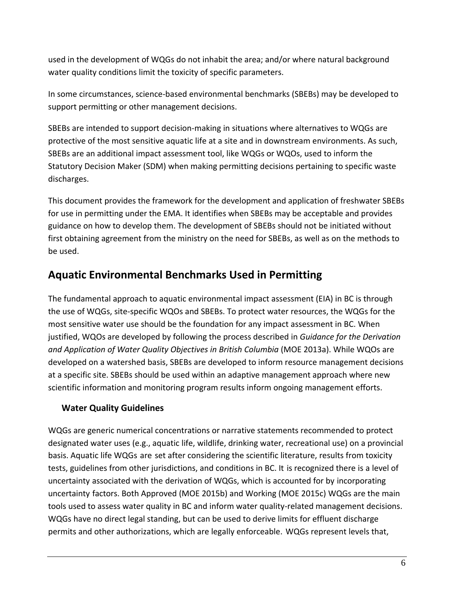used in the development of WQGs do not inhabit the area; and/or where natural background water quality conditions limit the toxicity of specific parameters.

In some circumstances, science-based environmental benchmarks (SBEBs) may be developed to support permitting or other management decisions.

SBEBs are intended to support decision-making in situations where alternatives to WQGs are protective of the most sensitive aquatic life at a site and in downstream environments. As such, SBEBs are an additional impact assessment tool, like WQGs or WQOs, used to inform the Statutory Decision Maker (SDM) when making permitting decisions pertaining to specific waste discharges.

This document provides the framework for the development and application of freshwater SBEBs for use in permitting under the EMA. It identifies when SBEBs may be acceptable and provides guidance on how to develop them. The development of SBEBs should not be initiated without first obtaining agreement from the ministry on the need for SBEBs, as well as on the methods to be used.

### **Aquatic Environmental Benchmarks Used in Permitting**

The fundamental approach to aquatic environmental impact assessment (EIA) in BC is through the use of WQGs, site-specific WQOs and SBEBs. To protect water resources, the WQGs for the most sensitive water use should be the foundation for any impact assessment in BC. When justified, WQOs are developed by following the process described in *Guidance for the Derivation and Application of Water Quality Objectives in British Columbia* (MOE 2013a). While WQOs are developed on a watershed basis, SBEBs are developed to inform resource management decisions at a specific site. SBEBs should be used within an adaptive management approach where new scientific information and monitoring program results inform ongoing management efforts.

#### **Water Quality Guidelines**

WQGs are generic numerical concentrations or narrative statements recommended to protect designated water uses (e.g., aquatic life, wildlife, drinking water, recreational use) on a provincial basis. Aquatic life WQGs are set after considering the scientific literature, results from toxicity tests, guidelines from other jurisdictions, and conditions in BC. It is recognized there is a level of uncertainty associated with the derivation of WQGs, which is accounted for by incorporating uncertainty factors. Both Approved (MOE 2015b) and Working (MOE 2015c) WQGs are the main tools used to assess water quality in BC and inform water quality-related management decisions. WQGs have no direct legal standing, but can be used to derive limits for effluent discharge permits and other authorizations, which are legally enforceable. WQGs represent levels that,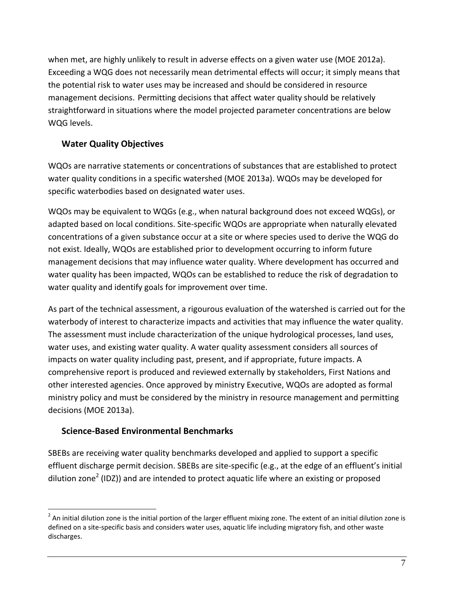when met, are highly unlikely to result in adverse effects on a given water use (MOE 2012a). Exceeding a WQG does not necessarily mean detrimental effects will occur; it simply means that the potential risk to water uses may be increased and should be considered in resource management decisions. Permitting decisions that affect water quality should be relatively straightforward in situations where the model projected parameter concentrations are below WQG levels.

#### **Water Quality Objectives**

WQOs are narrative statements or concentrations of substances that are established to protect water quality conditions in a specific watershed (MOE 2013a). WQOs may be developed for specific waterbodies based on designated water uses.

WQOs may be equivalent to WQGs (e.g., when natural background does not exceed WQGs), or adapted based on local conditions. Site-specific WQOs are appropriate when naturally elevated concentrations of a given substance occur at a site or where species used to derive the WQG do not exist. Ideally, WQOs are established prior to development occurring to inform future management decisions that may influence water quality. Where development has occurred and water quality has been impacted, WQOs can be established to reduce the risk of degradation to water quality and identify goals for improvement over time.

As part of the technical assessment, a rigourous evaluation of the watershed is carried out for the waterbody of interest to characterize impacts and activities that may influence the water quality. The assessment must include characterization of the unique hydrological processes, land uses, water uses, and existing water quality. A water quality assessment considers all sources of impacts on water quality including past, present, and if appropriate, future impacts. A comprehensive report is produced and reviewed externally by stakeholders, First Nations and other interested agencies. Once approved by ministry Executive, WQOs are adopted as formal ministry policy and must be considered by the ministry in resource management and permitting decisions (MOE 2013a).

#### **Science-Based Environmental Benchmarks**

 $\overline{a}$ 

SBEBs are receiving water quality benchmarks developed and applied to support a specific effluent discharge permit decision. SBEBs are site-specific (e.g., at the edge of an effluent's initial dilution zone<sup>2</sup> (IDZ)) and are intended to protect aquatic life where an existing or proposed

 $^2$  An initial dilution zone is the initial portion of the larger effluent mixing zone. The extent of an initial dilution zone is defined on a site-specific basis and considers water uses, aquatic life including migratory fish, and other waste discharges.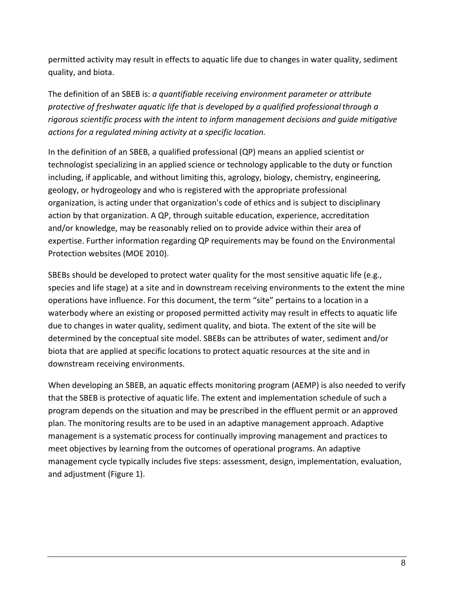permitted activity may result in effects to aquatic life due to changes in water quality, sediment quality, and biota.

The definition of an SBEB is: *a quantifiable receiving environment parameter or attribute protective of freshwater aquatic life that is developed by a qualified professionalthrough a rigorous scientific process with the intent to inform management decisions and guide mitigative actions for a regulated mining activity at a specific location.*

In the definition of an SBEB, a qualified professional (QP) means an applied scientist or technologist specializing in an applied science or technology applicable to the duty or function including, if applicable, and without limiting this, agrology, biology, chemistry, engineering, geology, or hydrogeology and who is registered with the appropriate professional organization, is acting under that organization's code of ethics and is subject to disciplinary action by that organization. A QP, through suitable education, experience, accreditation and/or knowledge, may be reasonably relied on to provide advice within their area of expertise. Further information regarding QP requirements may be found on the Environmental Protection websites (MOE 2010).

SBEBs should be developed to protect water quality for the most sensitive aquatic life (e.g., species and life stage) at a site and in downstream receiving environments to the extent the mine operations have influence. For this document, the term "site" pertains to a location in a waterbody where an existing or proposed permitted activity may result in effects to aquatic life due to changes in water quality, sediment quality, and biota. The extent of the site will be determined by the conceptual site model. SBEBs can be attributes of water, sediment and/or biota that are applied at specific locations to protect aquatic resources at the site and in downstream receiving environments.

When developing an SBEB, an aquatic effects monitoring program (AEMP) is also needed to verify that the SBEB is protective of aquatic life. The extent and implementation schedule of such a program depends on the situation and may be prescribed in the effluent permit or an approved plan. The monitoring results are to be used in an adaptive management approach. Adaptive management is a systematic process for continually improving management and practices to meet objectives by learning from the outcomes of operational programs. An adaptive management cycle typically includes five steps: assessment, design, implementation, evaluation, and adjustment (Figure 1).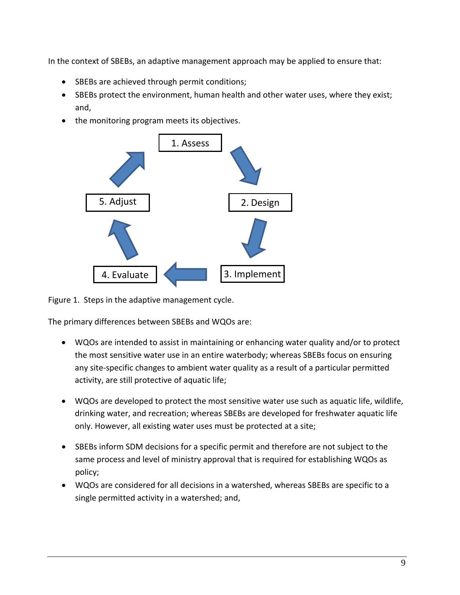In the context of SBEBs, an adaptive management approach may be applied to ensure that:

- SBEBs are achieved through permit conditions;
- SBEBs protect the environment, human health and other water uses, where they exist; and,
- the monitoring program meets its objectives.



Figure 1. Steps in the adaptive management cycle.

The primary differences between SBEBs and WQOs are:

- WQOs are intended to assist in maintaining or enhancing water quality and/or to protect the most sensitive water use in an entire waterbody; whereas SBEBs focus on ensuring any site-specific changes to ambient water quality as a result of a particular permitted activity, are still protective of aquatic life;
- WQOs are developed to protect the most sensitive water use such as aquatic life, wildlife, drinking water, and recreation; whereas SBEBs are developed for freshwater aquatic life only. However, all existing water uses must be protected at a site;
- SBEBs inform SDM decisions for a specific permit and therefore are not subject to the same process and level of ministry approval that is required for establishing WQOs as policy;
- WQOs are considered for all decisions in a watershed, whereas SBEBs are specific to a single permitted activity in a watershed; and,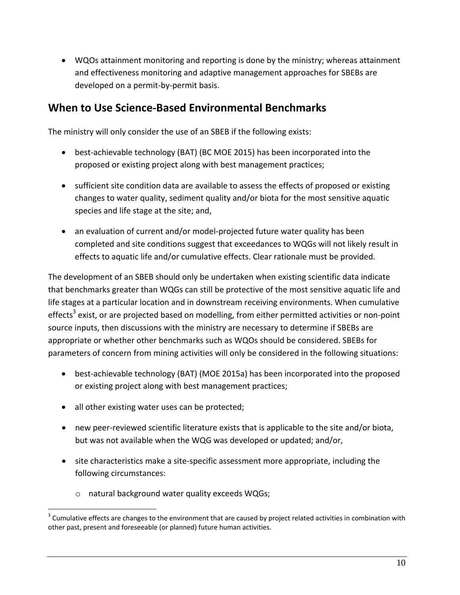WQOs attainment monitoring and reporting is done by the ministry; whereas attainment and effectiveness monitoring and adaptive management approaches for SBEBs are developed on a permit-by-permit basis.

### **When to Use Science-Based Environmental Benchmarks**

The ministry will only consider the use of an SBEB if the following exists:

- best-achievable technology (BAT) (BC MOE 2015) has been incorporated into the proposed or existing project along with best management practices;
- sufficient site condition data are available to assess the effects of proposed or existing changes to water quality, sediment quality and/or biota for the most sensitive aquatic species and life stage at the site; and,
- an evaluation of current and/or model-projected future water quality has been completed and site conditions suggest that exceedances to WQGs will not likely result in effects to aquatic life and/or cumulative effects. Clear rationale must be provided.

The development of an SBEB should only be undertaken when existing scientific data indicate that benchmarks greater than WQGs can still be protective of the most sensitive aquatic life and life stages at a particular location and in downstream receiving environments. When cumulative effects<sup>3</sup> exist, or are projected based on modelling, from either permitted activities or non-point source inputs, then discussions with the ministry are necessary to determine if SBEBs are appropriate or whether other benchmarks such as WQOs should be considered. SBEBs for parameters of concern from mining activities will only be considered in the following situations:

- best-achievable technology (BAT) (MOE 2015a) has been incorporated into the proposed or existing project along with best management practices;
- all other existing water uses can be protected;

 $\overline{a}$ 

- new peer-reviewed scientific literature exists that is applicable to the site and/or biota, but was not available when the WQG was developed or updated; and/or,
- site characteristics make a site-specific assessment more appropriate, including the following circumstances:
	- o natural background water quality exceeds WQGs;

 $3$  Cumulative effects are changes to the environment that are caused by project related activities in combination with other past, present and foreseeable (or planned) future human activities.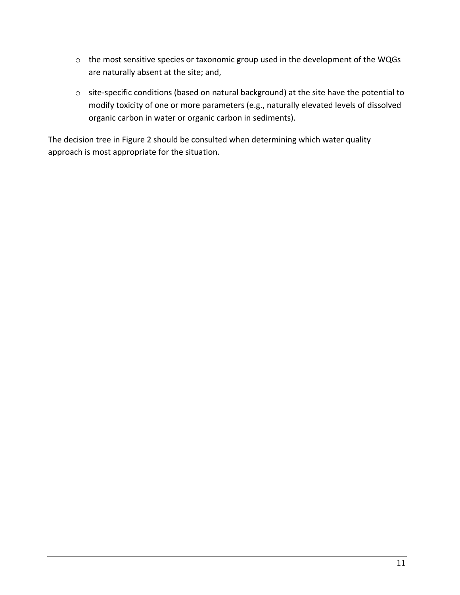- o the most sensitive species or taxonomic group used in the development of the WQGs are naturally absent at the site; and,
- o site-specific conditions (based on natural background) at the site have the potential to modify toxicity of one or more parameters (e.g., naturally elevated levels of dissolved organic carbon in water or organic carbon in sediments).

The decision tree in Figure 2 should be consulted when determining which water quality approach is most appropriate for the situation.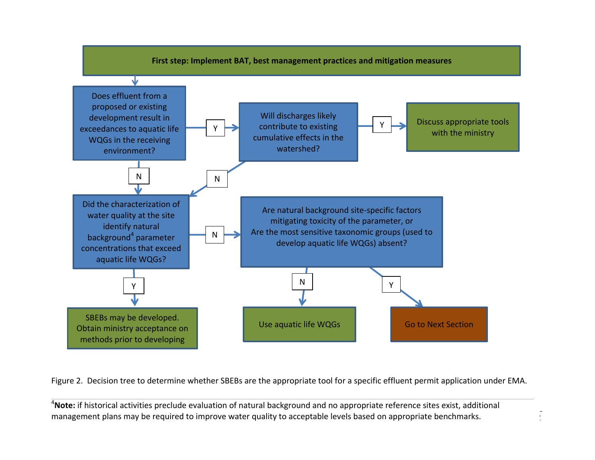

Figure 2. Decision tree to determine whether SBEBs are the appropriate tool for a specific effluent permit application under EMA.

\_\_\_\_\_\_\_\_\_\_\_\_\_\_\_\_\_\_\_\_\_\_\_\_\_\_\_\_\_\_\_\_\_\_\_\_\_\_\_\_\_\_\_\_\_\_\_\_\_\_\_\_\_\_\_\_\_\_\_\_\_\_\_\_\_\_\_\_\_\_\_\_\_\_\_\_\_\_\_\_\_\_\_\_\_\_\_\_\_\_\_\_\_\_\_\_\_\_\_\_\_\_\_\_\_\_\_\_\_\_\_\_\_\_\_\_\_\_\_\_\_\_\_\_\_\_\_\_\_\_\_\_\_\_\_\_\_\_\_\_\_\_\_\_\_\_\_\_\_\_\_\_\_\_\_\_\_\_\_\_\_\_\_\_\_\_\_\_\_\_\_\_\_\_\_\_\_\_\_\_\_\_\_\_\_\_\_\_\_\_\_\_\_\_\_\_\_\_\_\_\_\_\_\_\_\_\_\_\_\_\_\_\_\_\_\_\_\_\_\_\_\_\_\_\_\_\_\_\_\_\_\_\_\_\_\_\_\_\_\_\_\_\_\_\_\_\_\_\_\_\_\_\_\_\_\_\_\_\_\_\_\_\_\_\_\_\_\_\_\_\_\_\_\_\_\_\_\_\_\_\_\_\_\_\_\_\_\_\_\_\_\_\_\_\_\_\_\_\_\_\_\_\_\_\_\_\_\_\_\_\_\_\_\_\_\_\_\_\_\_\_\_\_\_\_\_\_\_\_\_\_\_\_\_\_\_\_\_\_\_\_\_\_\_\_\_\_\_\_\_\_\_\_\_\_\_\_\_\_\_\_\_\_\_\_\_\_\_\_\_\_\_\_\_\_\_\_\_\_\_\_\_\_\_\_\_\_\_\_\_\_\_\_\_\_\_\_\_\_\_\_\_\_\_\_\_\_\_\_\_\_\_\_\_\_\_\_\_\_\_\_\_\_\_\_\_\_\_\_\_

12

<sup>4</sup>**Note:** if historical activities preclude evaluation of natural background and no appropriate reference sites exist, additional management plans may be required to improve water quality to acceptable levels based on appropriate benchmarks.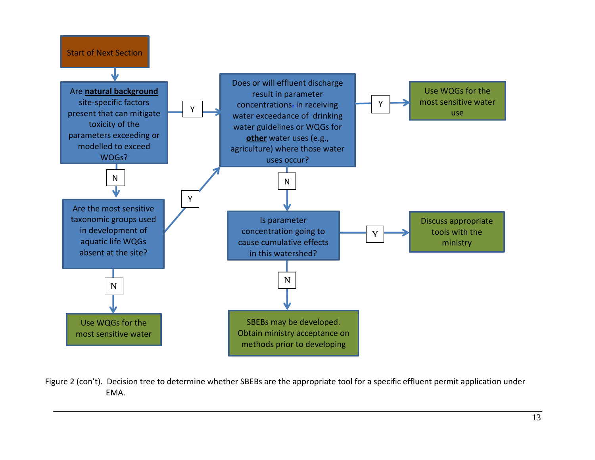

Figure 2 (con't). Decision tree to determine whether SBEBs are the appropriate tool for a specific effluent permit application under EMA.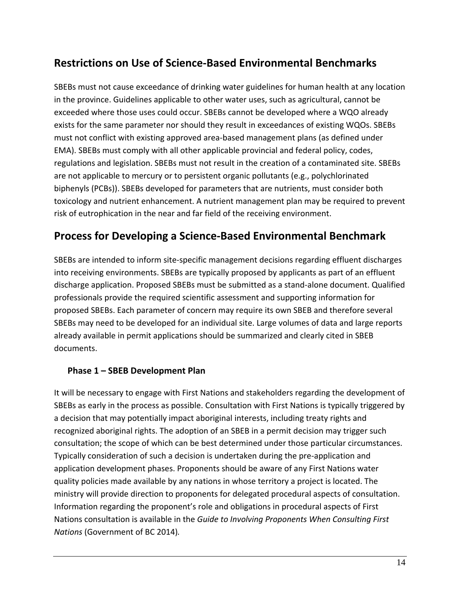### **Restrictions on Use of Science-Based Environmental Benchmarks**

SBEBs must not cause exceedance of drinking water guidelines for human health at any location in the province. Guidelines applicable to other water uses, such as agricultural, cannot be exceeded where those uses could occur. SBEBs cannot be developed where a WQO already exists for the same parameter nor should they result in exceedances of existing WQOs. SBEBs must not conflict with existing approved area-based management plans (as defined under EMA). SBEBs must comply with all other applicable provincial and federal policy, codes, regulations and legislation. SBEBs must not result in the creation of a contaminated site. SBEBs are not applicable to mercury or to persistent organic pollutants (e.g., polychlorinated biphenyls (PCBs)). SBEBs developed for parameters that are nutrients, must consider both toxicology and nutrient enhancement. A nutrient management plan may be required to prevent risk of eutrophication in the near and far field of the receiving environment.

### **Process for Developing a Science-Based Environmental Benchmark**

SBEBs are intended to inform site-specific management decisions regarding effluent discharges into receiving environments. SBEBs are typically proposed by applicants as part of an effluent discharge application. Proposed SBEBs must be submitted as a stand-alone document. Qualified professionals provide the required scientific assessment and supporting information for proposed SBEBs. Each parameter of concern may require its own SBEB and therefore several SBEBs may need to be developed for an individual site. Large volumes of data and large reports already available in permit applications should be summarized and clearly cited in SBEB documents.

#### **Phase 1 – SBEB Development Plan**

It will be necessary to engage with First Nations and stakeholders regarding the development of SBEBs as early in the process as possible. Consultation with First Nations is typically triggered by a decision that may potentially impact aboriginal interests, including treaty rights and recognized aboriginal rights. The adoption of an SBEB in a permit decision may trigger such consultation; the scope of which can be best determined under those particular circumstances. Typically consideration of such a decision is undertaken during the pre-application and application development phases. Proponents should be aware of any First Nations water quality policies made available by any nations in whose territory a project is located. The ministry will provide direction to proponents for delegated procedural aspects of consultation. Information regarding the proponent's role and obligations in procedural aspects of First Nations consultation is available in the *Guide to Involving Proponents When Consulting First Nations* (Government of BC 2014)*.*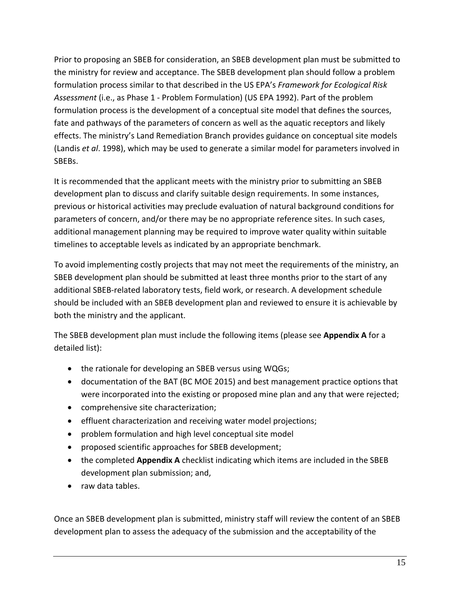Prior to proposing an SBEB for consideration, an SBEB development plan must be submitted to the ministry for review and acceptance. The SBEB development plan should follow a problem formulation process similar to that described in the US EPA's *Framework for Ecological Risk Assessment* (i.e., as Phase 1 - Problem Formulation) (US EPA 1992). Part of the problem formulation process is the development of a conceptual site model that defines the sources, fate and pathways of the parameters of concern as well as the aquatic receptors and likely effects. The ministry's Land Remediation Branch provides guidance on conceptual site models (Landis *et al*. 1998), which may be used to generate a similar model for parameters involved in SBEBs.

It is recommended that the applicant meets with the ministry prior to submitting an SBEB development plan to discuss and clarify suitable design requirements. In some instances, previous or historical activities may preclude evaluation of natural background conditions for parameters of concern, and/or there may be no appropriate reference sites. In such cases, additional management planning may be required to improve water quality within suitable timelines to acceptable levels as indicated by an appropriate benchmark.

To avoid implementing costly projects that may not meet the requirements of the ministry, an SBEB development plan should be submitted at least three months prior to the start of any additional SBEB-related laboratory tests, field work, or research. A development schedule should be included with an SBEB development plan and reviewed to ensure it is achievable by both the ministry and the applicant.

The SBEB development plan must include the following items (please see **Appendix A** for a detailed list):

- the rationale for developing an SBEB versus using WQGs;
- documentation of the BAT (BC MOE 2015) and best management practice options that were incorporated into the existing or proposed mine plan and any that were rejected;
- comprehensive site characterization;
- effluent characterization and receiving water model projections;
- problem formulation and high level conceptual site model
- proposed scientific approaches for SBEB development;
- the completed **Appendix A** checklist indicating which items are included in the SBEB development plan submission; and,
- raw data tables.

Once an SBEB development plan is submitted, ministry staff will review the content of an SBEB development plan to assess the adequacy of the submission and the acceptability of the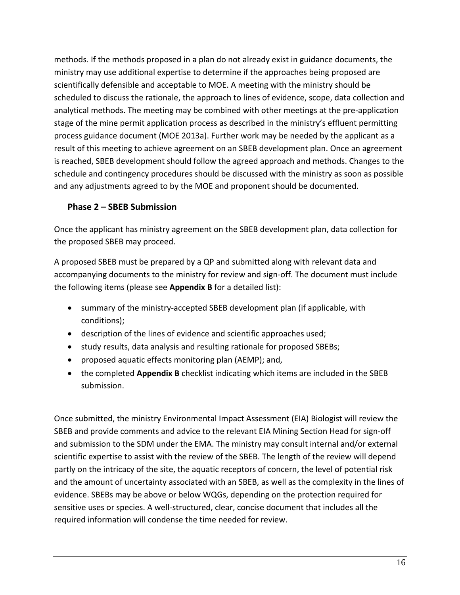methods. If the methods proposed in a plan do not already exist in guidance documents, the ministry may use additional expertise to determine if the approaches being proposed are scientifically defensible and acceptable to MOE. A meeting with the ministry should be scheduled to discuss the rationale, the approach to lines of evidence, scope, data collection and analytical methods. The meeting may be combined with other meetings at the pre-application stage of the mine permit application process as described in the ministry's effluent permitting process guidance document (MOE 2013a). Further work may be needed by the applicant as a result of this meeting to achieve agreement on an SBEB development plan. Once an agreement is reached, SBEB development should follow the agreed approach and methods. Changes to the schedule and contingency procedures should be discussed with the ministry as soon as possible and any adjustments agreed to by the MOE and proponent should be documented.

#### **Phase 2 – SBEB Submission**

Once the applicant has ministry agreement on the SBEB development plan, data collection for the proposed SBEB may proceed.

A proposed SBEB must be prepared by a QP and submitted along with relevant data and accompanying documents to the ministry for review and sign-off. The document must include the following items (please see **Appendix B** for a detailed list):

- summary of the ministry-accepted SBEB development plan (if applicable, with conditions);
- description of the lines of evidence and scientific approaches used;
- study results, data analysis and resulting rationale for proposed SBEBs;
- proposed aquatic effects monitoring plan (AEMP); and,
- the completed **Appendix B** checklist indicating which items are included in the SBEB submission.

Once submitted, the ministry Environmental Impact Assessment (EIA) Biologist will review the SBEB and provide comments and advice to the relevant EIA Mining Section Head for sign-off and submission to the SDM under the EMA. The ministry may consult internal and/or external scientific expertise to assist with the review of the SBEB. The length of the review will depend partly on the intricacy of the site, the aquatic receptors of concern, the level of potential risk and the amount of uncertainty associated with an SBEB, as well as the complexity in the lines of evidence. SBEBs may be above or below WQGs, depending on the protection required for sensitive uses or species. A well-structured, clear, concise document that includes all the required information will condense the time needed for review.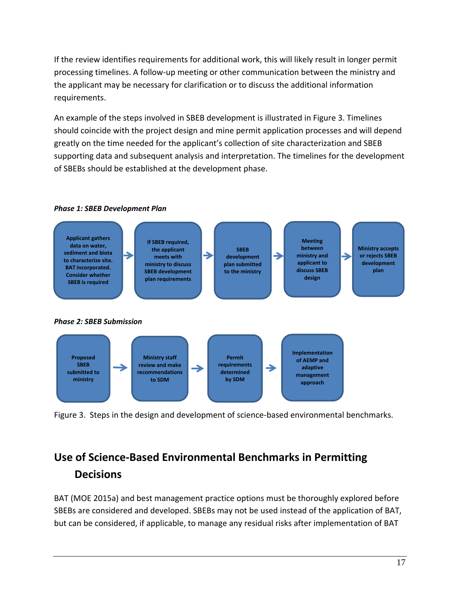If the review identifies requirements for additional work, this will likely result in longer permit processing timelines. A follow-up meeting or other communication between the ministry and the applicant may be necessary for clarification or to discuss the additional information requirements.

An example of the steps involved in SBEB development is illustrated in Figure 3. Timelines should coincide with the project design and mine permit application processes and will depend greatly on the time needed for the applicant's collection of site characterization and SBEB supporting data and subsequent analysis and interpretation. The timelines for the development of SBEBs should be established at the development phase.



Figure 3. Steps in the design and development of science-based environmental benchmarks.

## **Use of Science-Based Environmental Benchmarks in Permitting Decisions**

BAT (MOE 2015a) and best management practice options must be thoroughly explored before SBEBs are considered and developed. SBEBs may not be used instead of the application of BAT, but can be considered, if applicable, to manage any residual risks after implementation of BAT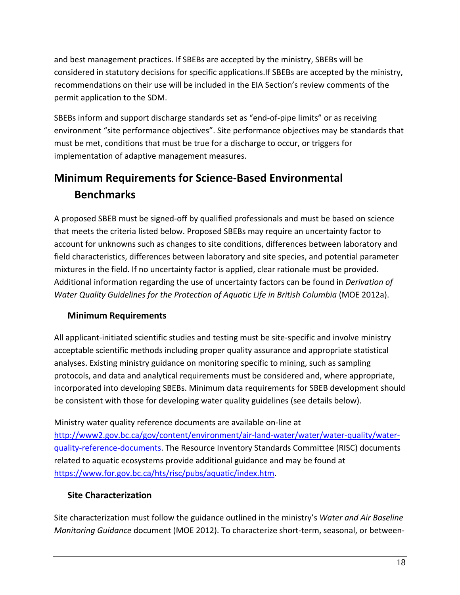and best management practices. If SBEBs are accepted by the ministry, SBEBs will be considered in statutory decisions for specific applications.If SBEBs are accepted by the ministry, recommendations on their use will be included in the EIA Section's review comments of the permit application to the SDM.

SBEBs inform and support discharge standards set as "end-of-pipe limits" or as receiving environment "site performance objectives". Site performance objectives may be standards that must be met, conditions that must be true for a discharge to occur, or triggers for implementation of adaptive management measures.

## **Minimum Requirements for Science-Based Environmental Benchmarks**

A proposed SBEB must be signed-off by qualified professionals and must be based on science that meets the criteria listed below. Proposed SBEBs may require an uncertainty factor to account for unknowns such as changes to site conditions, differences between laboratory and field characteristics, differences between laboratory and site species, and potential parameter mixtures in the field. If no uncertainty factor is applied, clear rationale must be provided. Additional information regarding the use of uncertainty factors can be found in *Derivation of Water Quality Guidelines for the Protection of Aquatic Life in British Columbia* (MOE 2012a).

#### **Minimum Requirements**

All applicant-initiated scientific studies and testing must be site-specific and involve ministry acceptable scientific methods including proper quality assurance and appropriate statistical analyses. Existing ministry guidance on monitoring specific to mining, such as sampling protocols, and data and analytical requirements must be considered and, where appropriate, incorporated into developing SBEBs. Minimum data requirements for SBEB development should be consistent with those for developing water quality guidelines (see details below).

Ministry water quality reference documents are available on-line at [http://www2.gov.bc.ca/gov/content/environment/air-land-water/water/water-quality/water](http://www2.gov.bc.ca/gov/content/environment/air-land-water/water/water-quality/water-quality-reference-documents)[quality-reference-documents.](http://www2.gov.bc.ca/gov/content/environment/air-land-water/water/water-quality/water-quality-reference-documents) The Resource Inventory Standards Committee (RISC) documents related to aquatic ecosystems provide additional guidance and may be found at [https://www.for.gov.bc.ca/hts/risc/pubs/aquatic/index.htm.](https://www.for.gov.bc.ca/hts/risc/pubs/aquatic/index.htm)

#### **Site Characterization**

Site characterization must follow the guidance outlined in the ministry's *Water and Air Baseline Monitoring Guidance* document (MOE 2012). To characterize short-term, seasonal, or between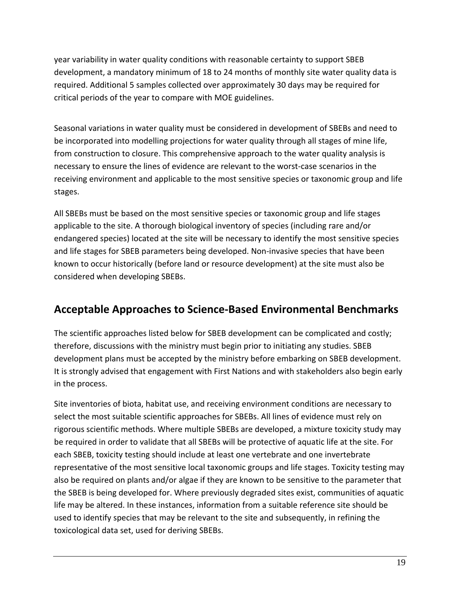year variability in water quality conditions with reasonable certainty to support SBEB development, a mandatory minimum of 18 to 24 months of monthly site water quality data is required. Additional 5 samples collected over approximately 30 days may be required for critical periods of the year to compare with MOE guidelines.

Seasonal variations in water quality must be considered in development of SBEBs and need to be incorporated into modelling projections for water quality through all stages of mine life, from construction to closure. This comprehensive approach to the water quality analysis is necessary to ensure the lines of evidence are relevant to the worst-case scenarios in the receiving environment and applicable to the most sensitive species or taxonomic group and life stages.

All SBEBs must be based on the most sensitive species or taxonomic group and life stages applicable to the site. A thorough biological inventory of species (including rare and/or endangered species) located at the site will be necessary to identify the most sensitive species and life stages for SBEB parameters being developed. Non-invasive species that have been known to occur historically (before land or resource development) at the site must also be considered when developing SBEBs.

### **Acceptable Approaches to Science-Based Environmental Benchmarks**

The scientific approaches listed below for SBEB development can be complicated and costly; therefore, discussions with the ministry must begin prior to initiating any studies. SBEB development plans must be accepted by the ministry before embarking on SBEB development. It is strongly advised that engagement with First Nations and with stakeholders also begin early in the process.

Site inventories of biota, habitat use, and receiving environment conditions are necessary to select the most suitable scientific approaches for SBEBs. All lines of evidence must rely on rigorous scientific methods. Where multiple SBEBs are developed, a mixture toxicity study may be required in order to validate that all SBEBs will be protective of aquatic life at the site. For each SBEB, toxicity testing should include at least one vertebrate and one invertebrate representative of the most sensitive local taxonomic groups and life stages. Toxicity testing may also be required on plants and/or algae if they are known to be sensitive to the parameter that the SBEB is being developed for. Where previously degraded sites exist, communities of aquatic life may be altered. In these instances, information from a suitable reference site should be used to identify species that may be relevant to the site and subsequently, in refining the toxicological data set, used for deriving SBEBs.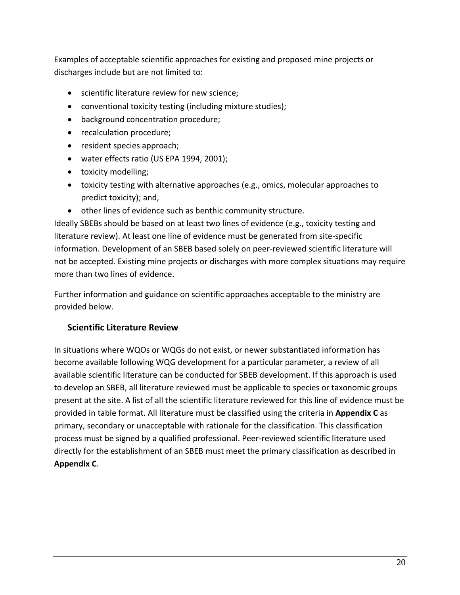Examples of acceptable scientific approaches for existing and proposed mine projects or discharges include but are not limited to:

- **•** scientific literature review for new science;
- conventional toxicity testing (including mixture studies);
- background concentration procedure;
- recalculation procedure;
- resident species approach;
- water effects ratio (US EPA 1994, 2001);
- toxicity modelling;
- toxicity testing with alternative approaches (e.g., omics, molecular approaches to predict toxicity); and,
- other lines of evidence such as benthic community structure.

Ideally SBEBs should be based on at least two lines of evidence (e.g., toxicity testing and literature review). At least one line of evidence must be generated from site-specific information. Development of an SBEB based solely on peer-reviewed scientific literature will not be accepted. Existing mine projects or discharges with more complex situations may require more than two lines of evidence.

Further information and guidance on scientific approaches acceptable to the ministry are provided below.

#### **Scientific Literature Review**

In situations where WQOs or WQGs do not exist, or newer substantiated information has become available following WQG development for a particular parameter, a review of all available scientific literature can be conducted for SBEB development. If this approach is used to develop an SBEB, all literature reviewed must be applicable to species or taxonomic groups present at the site. A list of all the scientific literature reviewed for this line of evidence must be provided in table format. All literature must be classified using the criteria in **Appendix C** as primary, secondary or unacceptable with rationale for the classification. This classification process must be signed by a qualified professional. Peer-reviewed scientific literature used directly for the establishment of an SBEB must meet the primary classification as described in **Appendix C**.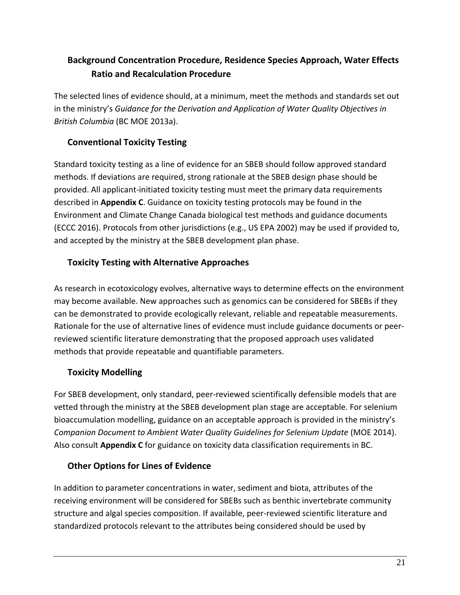### **Background Concentration Procedure, Residence Species Approach, Water Effects Ratio and Recalculation Procedure**

The selected lines of evidence should, at a minimum, meet the methods and standards set out in the ministry's *Guidance for the Derivation and Application of Water Quality Objectives in British Columbia* (BC MOE 2013a).

#### **Conventional Toxicity Testing**

Standard toxicity testing as a line of evidence for an SBEB should follow approved standard methods. If deviations are required, strong rationale at the SBEB design phase should be provided. All applicant-initiated toxicity testing must meet the primary data requirements described in **Appendix C**. Guidance on toxicity testing protocols may be found in the Environment and Climate Change Canada biological test methods and guidance documents (ECCC 2016). Protocols from other jurisdictions (e.g., US EPA 2002) may be used if provided to, and accepted by the ministry at the SBEB development plan phase.

#### **Toxicity Testing with Alternative Approaches**

As research in ecotoxicology evolves, alternative ways to determine effects on the environment may become available. New approaches such as genomics can be considered for SBEBs if they can be demonstrated to provide ecologically relevant, reliable and repeatable measurements. Rationale for the use of alternative lines of evidence must include guidance documents or peerreviewed scientific literature demonstrating that the proposed approach uses validated methods that provide repeatable and quantifiable parameters.

#### **Toxicity Modelling**

For SBEB development, only standard, peer-reviewed scientifically defensible models that are vetted through the ministry at the SBEB development plan stage are acceptable. For selenium bioaccumulation modelling, guidance on an acceptable approach is provided in the ministry's *Companion Document to Ambient Water Quality Guidelines for Selenium Update* (MOE 2014). Also consult **Appendix C** for guidance on toxicity data classification requirements in BC.

#### **Other Options for Lines of Evidence**

In addition to parameter concentrations in water, sediment and biota, attributes of the receiving environment will be considered for SBEBs such as benthic invertebrate community structure and algal species composition. If available, peer-reviewed scientific literature and standardized protocols relevant to the attributes being considered should be used by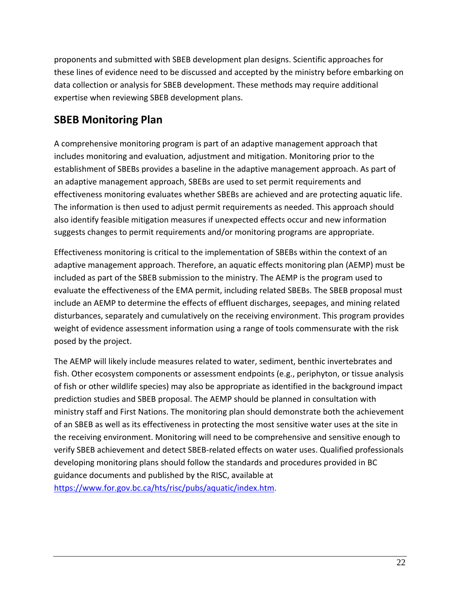proponents and submitted with SBEB development plan designs. Scientific approaches for these lines of evidence need to be discussed and accepted by the ministry before embarking on data collection or analysis for SBEB development. These methods may require additional expertise when reviewing SBEB development plans.

### **SBEB Monitoring Plan**

A comprehensive monitoring program is part of an adaptive management approach that includes monitoring and evaluation, adjustment and mitigation. Monitoring prior to the establishment of SBEBs provides a baseline in the adaptive management approach. As part of an adaptive management approach, SBEBs are used to set permit requirements and effectiveness monitoring evaluates whether SBEBs are achieved and are protecting aquatic life. The information is then used to adjust permit requirements as needed. This approach should also identify feasible mitigation measures if unexpected effects occur and new information suggests changes to permit requirements and/or monitoring programs are appropriate.

Effectiveness monitoring is critical to the implementation of SBEBs within the context of an adaptive management approach. Therefore, an aquatic effects monitoring plan (AEMP) must be included as part of the SBEB submission to the ministry. The AEMP is the program used to evaluate the effectiveness of the EMA permit, including related SBEBs. The SBEB proposal must include an AEMP to determine the effects of effluent discharges, seepages, and mining related disturbances, separately and cumulatively on the receiving environment. This program provides weight of evidence assessment information using a range of tools commensurate with the risk posed by the project.

The AEMP will likely include measures related to water, sediment, benthic invertebrates and fish. Other ecosystem components or assessment endpoints (e.g., periphyton, or tissue analysis of fish or other wildlife species) may also be appropriate as identified in the background impact prediction studies and SBEB proposal. The AEMP should be planned in consultation with ministry staff and First Nations. The monitoring plan should demonstrate both the achievement of an SBEB as well as its effectiveness in protecting the most sensitive water uses at the site in the receiving environment. Monitoring will need to be comprehensive and sensitive enough to verify SBEB achievement and detect SBEB-related effects on water uses. Qualified professionals developing monitoring plans should follow the standards and procedures provided in BC guidance documents and published by the RISC, available at <https://www.for.gov.bc.ca/hts/risc/pubs/aquatic/index.htm>.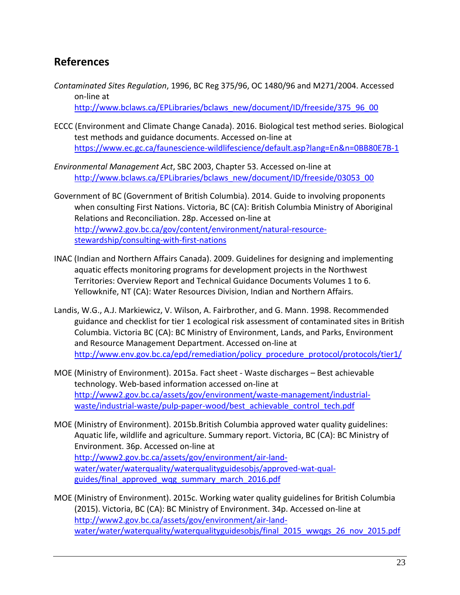### **References**

- *Contaminated Sites Regulation*, 1996, BC Reg 375/96, OC 1480/96 and M271/2004. Accessed on-line at [http://www.bclaws.ca/EPLibraries/bclaws\\_new/document/ID/freeside/375\\_96\\_00](http://www.bclaws.ca/EPLibraries/bclaws_new/document/ID/freeside/375_96_00)
- ECCC (Environment and Climate Change Canada). 2016. Biological test method series. Biological test methods and guidance documents. Accessed on-line at <https://www.ec.gc.ca/faunescience-wildlifescience/default.asp?lang=En&n=0BB80E7B-1>
- *Environmental Management Act*, SBC 2003, Chapter 53. Accessed on-line at [http://www.bclaws.ca/EPLibraries/bclaws\\_new/document/ID/freeside/03053\\_00](http://www.bclaws.ca/EPLibraries/bclaws_new/document/ID/freeside/03053_00)
- Government of BC (Government of British Columbia). 2014. Guide to involving proponents when consulting First Nations. Victoria, BC (CA): British Columbia Ministry of Aboriginal Relations and Reconciliation. 28p. Accessed on-line at [http://www2.gov.bc.ca/gov/content/environment/natural-resource](http://www2.gov.bc.ca/gov/content/environment/natural-resource-stewardship/consulting-with-first-nations)[stewardship/consulting-with-first-nations](http://www2.gov.bc.ca/gov/content/environment/natural-resource-stewardship/consulting-with-first-nations)
- INAC (Indian and Northern Affairs Canada). 2009. Guidelines for designing and implementing aquatic effects monitoring programs for development projects in the Northwest Territories: Overview Report and Technical Guidance Documents Volumes 1 to 6. Yellowknife, NT (CA): Water Resources Division, Indian and Northern Affairs.
- Landis, W.G., A.J. Markiewicz, V. Wilson, A. Fairbrother, and G. Mann. 1998. Recommended guidance and checklist for tier 1 ecological risk assessment of contaminated sites in British Columbia. Victoria BC (CA): BC Ministry of Environment, Lands, and Parks, Environment and Resource Management Department. Accessed on-line at [http://www.env.gov.bc.ca/epd/remediation/policy\\_procedure\\_protocol/protocols/tier1/](http://www.env.gov.bc.ca/epd/remediation/policy_procedure_protocol/protocols/tier1/)
- MOE (Ministry of Environment). 2015a. Fact sheet Waste discharges Best achievable technology. Web-based information accessed on-line at http://www2.gov.bc.ca/assets/gov/environment/waste-management/industrialwaste/industrial-waste/pulp-paper-wood/best\_achievable\_control\_tech.pdf
- MOE (Ministry of Environment). 2015b.British Columbia approved water quality guidelines: Aquatic life, wildlife and agriculture. Summary report. Victoria, BC (CA): BC Ministry of Environment. 36p. Accessed on-line at [http://www2.gov.bc.ca/assets/gov/environment/air-land](http://www2.gov.bc.ca/assets/gov/environment/air-land-water/water/waterquality/waterqualityguidesobjs/approved-wat-qual-guides/final_approved_wqg_summary_march_2016.pdf)[water/water/waterquality/waterqualityguidesobjs/approved-wat-qual](http://www2.gov.bc.ca/assets/gov/environment/air-land-water/water/waterquality/waterqualityguidesobjs/approved-wat-qual-guides/final_approved_wqg_summary_march_2016.pdf)[guides/final\\_approved\\_wqg\\_summary\\_march\\_2016.pdf](http://www2.gov.bc.ca/assets/gov/environment/air-land-water/water/waterquality/waterqualityguidesobjs/approved-wat-qual-guides/final_approved_wqg_summary_march_2016.pdf)
- MOE (Ministry of Environment). 2015c. Working water quality guidelines for British Columbia (2015). Victoria, BC (CA): BC Ministry of Environment. 34p. Accessed on-line at [http://www2.gov.bc.ca/assets/gov/environment/air-land](http://www2.gov.bc.ca/assets/gov/environment/air-land-water/water/waterquality/waterqualityguidesobjs/final_2015_wwqgs_26_nov_2015.pdf)[water/water/waterquality/waterqualityguidesobjs/final\\_2015\\_wwqgs\\_26\\_nov\\_2015.pdf](http://www2.gov.bc.ca/assets/gov/environment/air-land-water/water/waterquality/waterqualityguidesobjs/final_2015_wwqgs_26_nov_2015.pdf)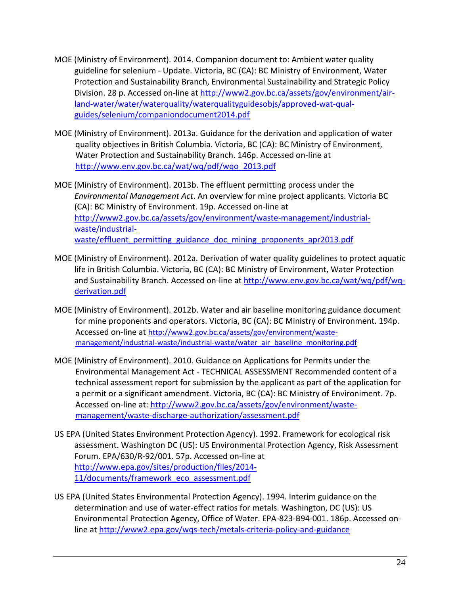- MOE (Ministry of Environment). 2014. Companion document to: Ambient water quality guideline for selenium - Update. Victoria, BC (CA): BC Ministry of Environment, Water Protection and Sustainability Branch, Environmental Sustainability and Strategic Policy Division. 28 p. Accessed on-line at [http://www2.gov.bc.ca/assets/gov/environment/air](http://www2.gov.bc.ca/assets/gov/environment/air-land-water/water/waterquality/waterqualityguidesobjs/approved-wat-qual-guides/selenium/companiondocument2014.pdf)[land-water/water/waterquality/waterqualityguidesobjs/approved-wat-qual](http://www2.gov.bc.ca/assets/gov/environment/air-land-water/water/waterquality/waterqualityguidesobjs/approved-wat-qual-guides/selenium/companiondocument2014.pdf)[guides/selenium/companiondocument2014.pdf](http://www2.gov.bc.ca/assets/gov/environment/air-land-water/water/waterquality/waterqualityguidesobjs/approved-wat-qual-guides/selenium/companiondocument2014.pdf)
- MOE (Ministry of Environment). 2013a. Guidance for the derivation and application of water quality objectives in British Columbia. Victoria, BC (CA): BC Ministry of Environment, Water Protection and Sustainability Branch. 146p. Accessed on-line at [http://www.env.gov.bc.ca/wat/wq/pdf/wqo\\_2013.pdf](http://www.env.gov.bc.ca/wat/wq/pdf/wqo_2013.pdf)
- MOE (Ministry of Environment). 2013b. The effluent permitting process under the *Environmental Management Act*. An overview for mine project applicants. Victoria BC (CA): BC Ministry of Environment. 19p. Accessed on-line at [http://www2.gov.bc.ca/assets/gov/environment/waste-management/industrial](http://www2.gov.bc.ca/assets/gov/environment/waste-management/industrial-waste/industrial-waste/effluent_permitting_guidance_doc_mining_proponents_apr2013.pdf)[waste/industrial](http://www2.gov.bc.ca/assets/gov/environment/waste-management/industrial-waste/industrial-waste/effluent_permitting_guidance_doc_mining_proponents_apr2013.pdf)waste/effluent permitting guidance doc mining proponents apr2013.pdf
- MOE (Ministry of Environment). 2012a. Derivation of water quality guidelines to protect aquatic life in British Columbia. Victoria, BC (CA): BC Ministry of Environment, Water Protection and Sustainability Branch. Accessed on-line at [http://www.env.gov.bc.ca/wat/wq/pdf/wq](http://www.env.gov.bc.ca/wat/wq/pdf/wq-derivation.pdf)[derivation.pdf](http://www.env.gov.bc.ca/wat/wq/pdf/wq-derivation.pdf)
- MOE (Ministry of Environment). 2012b. Water and air baseline monitoring guidance document for mine proponents and operators. Victoria, BC (CA): BC Ministry of Environment. 194p. Accessed on-line at [http://www2.gov.bc.ca/assets/gov/environment/waste](http://www2.gov.bc.ca/assets/gov/environment/waste-management/industrial-waste/industrial-waste/water_air_baseline_monitoring.pdf)[management/industrial-waste/industrial-waste/water\\_air\\_baseline\\_monitoring.pdf](http://www2.gov.bc.ca/assets/gov/environment/waste-management/industrial-waste/industrial-waste/water_air_baseline_monitoring.pdf)
- MOE (Ministry of Environment). 2010. Guidance on Applications for Permits under the Environmental Management Act - TECHNICAL ASSESSMENT Recommended content of a technical assessment report for submission by the applicant as part of the application for a permit or a significant amendment. Victoria, BC (CA): BC Ministry of Environiment. 7p. Accessed on-line at: [http://www2.gov.bc.ca/assets/gov/environment/waste](http://www2.gov.bc.ca/assets/gov/environment/waste-management/waste-discharge-authorization/assessment.pdf)[management/waste-discharge-authorization/assessment.pdf](http://www2.gov.bc.ca/assets/gov/environment/waste-management/waste-discharge-authorization/assessment.pdf)
- US EPA (United States Environment Protection Agency). 1992. Framework for ecological risk assessment. Washington DC (US): US Environmental Protection Agency, Risk Assessment Forum. EPA/630/R-92/001. 57p. Accessed on-line at [http://www.epa.gov/sites/production/files/2014-](http://www.epa.gov/sites/production/files/2014-11/documents/framework_eco_assessment.pdf) 11/documents/framework eco\_assessment.pdf
- US EPA (United States Environmental Protection Agency). 1994. Interim guidance on the determination and use of water-effect ratios for metals. Washington, DC (US): US Environmental Protection Agency, Office of Water. EPA-823-B94-001. 186p. Accessed online at<http://www2.epa.gov/wqs-tech/metals-criteria-policy-and-guidance>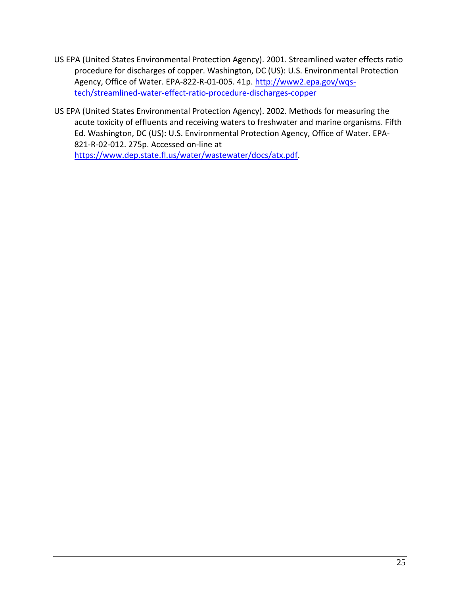- US EPA (United States Environmental Protection Agency). 2001. Streamlined water effects ratio procedure for discharges of copper. Washington, DC (US): U.S. Environmental Protection Agency, Office of Water. EPA-822-R-01-005. 41p. [http://www2.epa.gov/wqs](http://www2.epa.gov/wqs-tech/streamlined-water-effect-ratio-procedure-discharges-copper)[tech/streamlined-water-effect-ratio-procedure-discharges-copper](http://www2.epa.gov/wqs-tech/streamlined-water-effect-ratio-procedure-discharges-copper)
- US EPA (United States Environmental Protection Agency). 2002. Methods for measuring the acute toxicity of effluents and receiving waters to freshwater and marine organisms. Fifth Ed. Washington, DC (US): U.S. Environmental Protection Agency, Office of Water. EPA-821-R-02-012. 275p. Accessed on-line at [https://www.dep.state.fl.us/water/wastewater/docs/atx.pdf.](https://www.dep.state.fl.us/water/wastewater/docs/atx.pdf)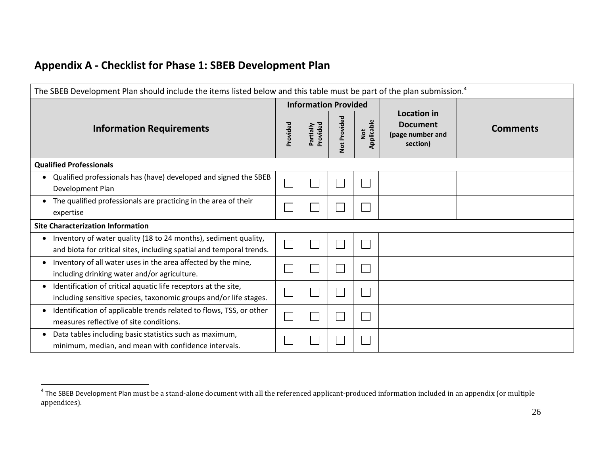| The SBEB Development Plan should include the items listed below and this table must be part of the plan submission. <sup>4</sup>        |          |                             |              |                   |                                                                |                 |  |  |  |  |
|-----------------------------------------------------------------------------------------------------------------------------------------|----------|-----------------------------|--------------|-------------------|----------------------------------------------------------------|-----------------|--|--|--|--|
|                                                                                                                                         |          | <b>Information Provided</b> |              |                   |                                                                |                 |  |  |  |  |
| <b>Information Requirements</b>                                                                                                         | Provided | Provided<br>Partially       | Not Provided | Applicable<br>Not | Location in<br><b>Document</b><br>(page number and<br>section) | <b>Comments</b> |  |  |  |  |
| <b>Qualified Professionals</b>                                                                                                          |          |                             |              |                   |                                                                |                 |  |  |  |  |
| Qualified professionals has (have) developed and signed the SBEB<br>Development Plan                                                    |          |                             |              |                   |                                                                |                 |  |  |  |  |
| The qualified professionals are practicing in the area of their<br>expertise                                                            |          |                             |              |                   |                                                                |                 |  |  |  |  |
| <b>Site Characterization Information</b>                                                                                                |          |                             |              |                   |                                                                |                 |  |  |  |  |
| Inventory of water quality (18 to 24 months), sediment quality,<br>and biota for critical sites, including spatial and temporal trends. |          |                             |              |                   |                                                                |                 |  |  |  |  |
| Inventory of all water uses in the area affected by the mine,<br>including drinking water and/or agriculture.                           |          |                             |              |                   |                                                                |                 |  |  |  |  |
| Identification of critical aquatic life receptors at the site,<br>including sensitive species, taxonomic groups and/or life stages.     |          |                             |              |                   |                                                                |                 |  |  |  |  |
| Identification of applicable trends related to flows, TSS, or other<br>measures reflective of site conditions.                          |          |                             |              |                   |                                                                |                 |  |  |  |  |
| Data tables including basic statistics such as maximum,<br>minimum, median, and mean with confidence intervals.                         |          |                             |              |                   |                                                                |                 |  |  |  |  |

 4 The SBEB Development Plan must be a stand-alone document with all the referenced applicant-produced information included in an appendix (or multiple appendices).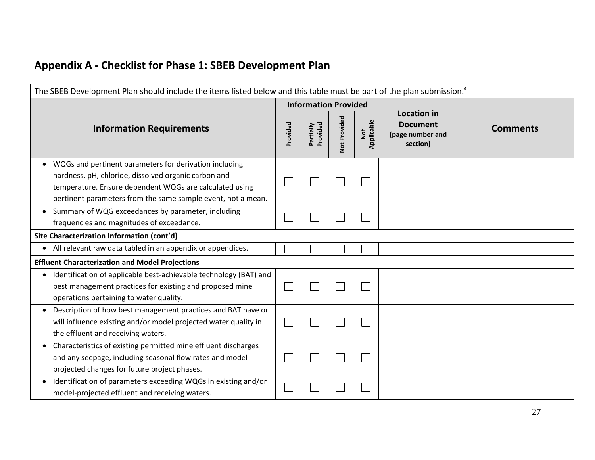| The SBEB Development Plan should include the items listed below and this table must be part of the plan submission. <sup>4</sup>                                                                                                          |          |                             |              |                   |                                                                       |                 |  |  |  |
|-------------------------------------------------------------------------------------------------------------------------------------------------------------------------------------------------------------------------------------------|----------|-----------------------------|--------------|-------------------|-----------------------------------------------------------------------|-----------------|--|--|--|
|                                                                                                                                                                                                                                           |          | <b>Information Provided</b> |              |                   |                                                                       |                 |  |  |  |
| <b>Information Requirements</b>                                                                                                                                                                                                           | Provided | Provided<br>Partially       | Not Provided | Applicable<br>Not | <b>Location in</b><br><b>Document</b><br>(page number and<br>section) | <b>Comments</b> |  |  |  |
| WQGs and pertinent parameters for derivation including<br>hardness, pH, chloride, dissolved organic carbon and<br>temperature. Ensure dependent WQGs are calculated using<br>pertinent parameters from the same sample event, not a mean. |          |                             |              |                   |                                                                       |                 |  |  |  |
| Summary of WQG exceedances by parameter, including<br>frequencies and magnitudes of exceedance.                                                                                                                                           |          |                             |              |                   |                                                                       |                 |  |  |  |
| Site Characterization Information (cont'd)                                                                                                                                                                                                |          |                             |              |                   |                                                                       |                 |  |  |  |
| All relevant raw data tabled in an appendix or appendices.                                                                                                                                                                                |          |                             |              |                   |                                                                       |                 |  |  |  |
| <b>Effluent Characterization and Model Projections</b>                                                                                                                                                                                    |          |                             |              |                   |                                                                       |                 |  |  |  |
| Identification of applicable best-achievable technology (BAT) and<br>best management practices for existing and proposed mine<br>operations pertaining to water quality.                                                                  |          |                             |              |                   |                                                                       |                 |  |  |  |
| Description of how best management practices and BAT have or<br>will influence existing and/or model projected water quality in<br>the effluent and receiving waters.                                                                     |          |                             |              |                   |                                                                       |                 |  |  |  |
| • Characteristics of existing permitted mine effluent discharges<br>and any seepage, including seasonal flow rates and model<br>projected changes for future project phases.                                                              |          |                             |              |                   |                                                                       |                 |  |  |  |
| Identification of parameters exceeding WQGs in existing and/or<br>model-projected effluent and receiving waters.                                                                                                                          |          |                             |              |                   |                                                                       |                 |  |  |  |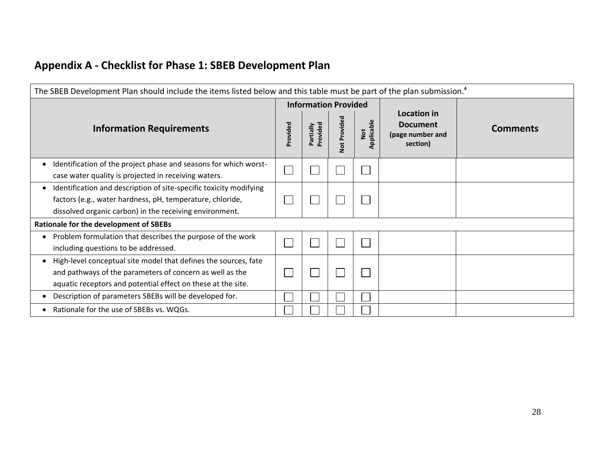| The SBEB Development Plan should include the items listed below and this table must be part of the plan submission. <sup>4</sup>                                                            |          |                             |              |                   |                                                 |                 |  |  |  |
|---------------------------------------------------------------------------------------------------------------------------------------------------------------------------------------------|----------|-----------------------------|--------------|-------------------|-------------------------------------------------|-----------------|--|--|--|
|                                                                                                                                                                                             |          | <b>Information Provided</b> |              |                   | Location in                                     |                 |  |  |  |
| <b>Information Requirements</b>                                                                                                                                                             | Provided | Provided<br>Partially       | Not Provided | Not<br>Applicable | <b>Document</b><br>(page number and<br>section) | <b>Comments</b> |  |  |  |
| Identification of the project phase and seasons for which worst-<br>case water quality is projected in receiving waters.                                                                    |          |                             |              |                   |                                                 |                 |  |  |  |
| Identification and description of site-specific toxicity modifying<br>factors (e.g., water hardness, pH, temperature, chloride,<br>dissolved organic carbon) in the receiving environment.  |          |                             |              |                   |                                                 |                 |  |  |  |
| Rationale for the development of SBEBs                                                                                                                                                      |          |                             |              |                   |                                                 |                 |  |  |  |
| Problem formulation that describes the purpose of the work<br>including questions to be addressed.                                                                                          |          |                             |              |                   |                                                 |                 |  |  |  |
| High-level conceptual site model that defines the sources, fate<br>and pathways of the parameters of concern as well as the<br>aquatic receptors and potential effect on these at the site. |          |                             |              |                   |                                                 |                 |  |  |  |
| Description of parameters SBEBs will be developed for.                                                                                                                                      |          |                             |              |                   |                                                 |                 |  |  |  |
| Rationale for the use of SBEBs vs. WQGs.                                                                                                                                                    |          |                             |              |                   |                                                 |                 |  |  |  |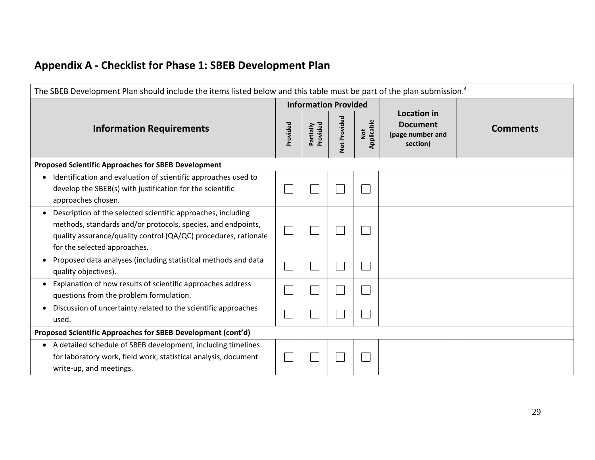| The SBEB Development Plan should include the items listed below and this table must be part of the plan submission. <sup>4</sup>                                                                                                |          |                             |              |                   |                                                                       |                 |  |  |  |  |  |
|---------------------------------------------------------------------------------------------------------------------------------------------------------------------------------------------------------------------------------|----------|-----------------------------|--------------|-------------------|-----------------------------------------------------------------------|-----------------|--|--|--|--|--|
|                                                                                                                                                                                                                                 |          | <b>Information Provided</b> |              |                   |                                                                       |                 |  |  |  |  |  |
| <b>Information Requirements</b>                                                                                                                                                                                                 | Provided | Partially<br>Provided       | Not Provided | Applicable<br>Not | <b>Location in</b><br><b>Document</b><br>(page number and<br>section) | <b>Comments</b> |  |  |  |  |  |
| <b>Proposed Scientific Approaches for SBEB Development</b>                                                                                                                                                                      |          |                             |              |                   |                                                                       |                 |  |  |  |  |  |
| • Identification and evaluation of scientific approaches used to<br>develop the SBEB(s) with justification for the scientific<br>approaches chosen.                                                                             |          |                             |              |                   |                                                                       |                 |  |  |  |  |  |
| Description of the selected scientific approaches, including<br>methods, standards and/or protocols, species, and endpoints,<br>quality assurance/quality control (QA/QC) procedures, rationale<br>for the selected approaches. |          |                             |              |                   |                                                                       |                 |  |  |  |  |  |
| Proposed data analyses (including statistical methods and data<br>quality objectives).                                                                                                                                          |          |                             |              |                   |                                                                       |                 |  |  |  |  |  |
| Explanation of how results of scientific approaches address<br>questions from the problem formulation.                                                                                                                          |          |                             |              |                   |                                                                       |                 |  |  |  |  |  |
| Discussion of uncertainty related to the scientific approaches<br>used.                                                                                                                                                         |          |                             |              |                   |                                                                       |                 |  |  |  |  |  |
| Proposed Scientific Approaches for SBEB Development (cont'd)                                                                                                                                                                    |          |                             |              |                   |                                                                       |                 |  |  |  |  |  |
| • A detailed schedule of SBEB development, including timelines<br>for laboratory work, field work, statistical analysis, document<br>write-up, and meetings.                                                                    |          |                             |              |                   |                                                                       |                 |  |  |  |  |  |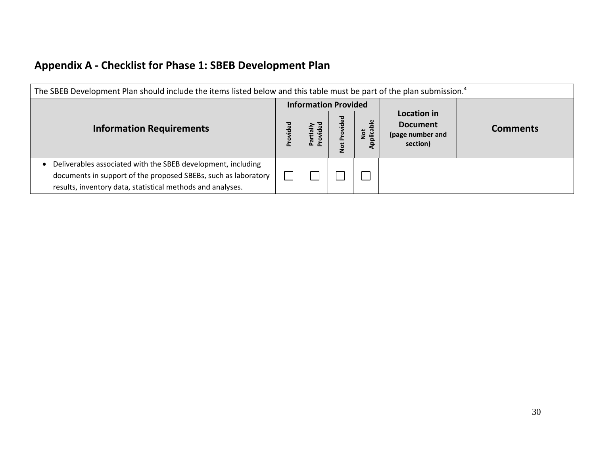| The SBEB Development Plan should include the items listed below and this table must be part of the plan submission. <sup>4</sup>                                                             |          |                                         |                 |                        |                                                                |                 |  |  |  |
|----------------------------------------------------------------------------------------------------------------------------------------------------------------------------------------------|----------|-----------------------------------------|-----------------|------------------------|----------------------------------------------------------------|-----------------|--|--|--|
| <b>Information Requirements</b>                                                                                                                                                              | Provided | <b>Information Provided</b><br>$\Omega$ | vided<br>ġ<br>ă | plicable<br><b>Not</b> | Location in<br><b>Document</b><br>(page number and<br>section) | <b>Comments</b> |  |  |  |
| Deliverables associated with the SBEB development, including<br>documents in support of the proposed SBEBs, such as laboratory<br>results, inventory data, statistical methods and analyses. |          |                                         |                 |                        |                                                                |                 |  |  |  |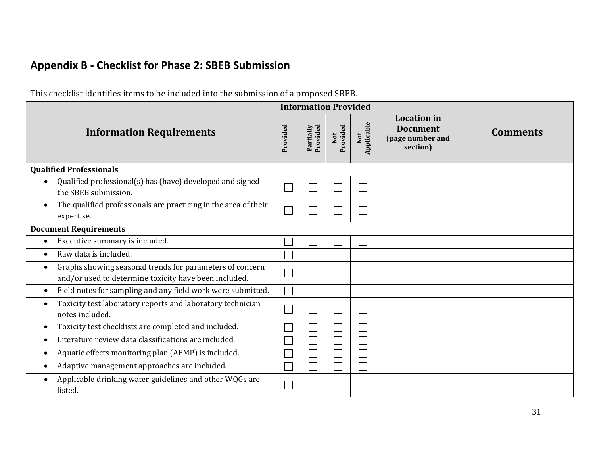| This checklist identifies items to be included into the submission of a proposed SBEB.                                         |                             |                       |                 |                             |                                                                       |                 |  |  |  |  |
|--------------------------------------------------------------------------------------------------------------------------------|-----------------------------|-----------------------|-----------------|-----------------------------|-----------------------------------------------------------------------|-----------------|--|--|--|--|
|                                                                                                                                | <b>Information Provided</b> |                       |                 |                             |                                                                       |                 |  |  |  |  |
| <b>Information Requirements</b>                                                                                                | Provided                    | Partially<br>Provided | Not<br>Provided | Not<br>Applicable           | <b>Location</b> in<br><b>Document</b><br>(page number and<br>section) | <b>Comments</b> |  |  |  |  |
| <b>Qualified Professionals</b>                                                                                                 |                             |                       |                 |                             |                                                                       |                 |  |  |  |  |
| Qualified professional(s) has (have) developed and signed<br>the SBEB submission.                                              |                             |                       |                 | Ξ                           |                                                                       |                 |  |  |  |  |
| The qualified professionals are practicing in the area of their<br>$\bullet$<br>expertise.                                     | $\Box$                      |                       |                 | $\mathcal{L}_{\mathcal{A}}$ |                                                                       |                 |  |  |  |  |
| <b>Document Requirements</b>                                                                                                   |                             |                       |                 |                             |                                                                       |                 |  |  |  |  |
| Executive summary is included.<br>$\bullet$                                                                                    |                             |                       |                 |                             |                                                                       |                 |  |  |  |  |
| Raw data is included.<br>$\bullet$                                                                                             |                             |                       |                 |                             |                                                                       |                 |  |  |  |  |
| Graphs showing seasonal trends for parameters of concern<br>$\bullet$<br>and/or used to determine toxicity have been included. | $\Box$                      |                       |                 | Ξ                           |                                                                       |                 |  |  |  |  |
| Field notes for sampling and any field work were submitted.<br>$\bullet$                                                       |                             |                       |                 |                             |                                                                       |                 |  |  |  |  |
| Toxicity test laboratory reports and laboratory technician<br>$\bullet$<br>notes included.                                     | $\Box$                      |                       |                 | Ξ                           |                                                                       |                 |  |  |  |  |
| Toxicity test checklists are completed and included.<br>$\bullet$                                                              |                             |                       |                 |                             |                                                                       |                 |  |  |  |  |
| Literature review data classifications are included.<br>$\bullet$                                                              |                             |                       |                 |                             |                                                                       |                 |  |  |  |  |
| Aquatic effects monitoring plan (AEMP) is included.<br>$\bullet$                                                               |                             |                       |                 |                             |                                                                       |                 |  |  |  |  |
| Adaptive management approaches are included.<br>$\bullet$                                                                      |                             |                       |                 |                             |                                                                       |                 |  |  |  |  |
| Applicable drinking water guidelines and other WQGs are<br>listed.                                                             |                             |                       |                 |                             |                                                                       |                 |  |  |  |  |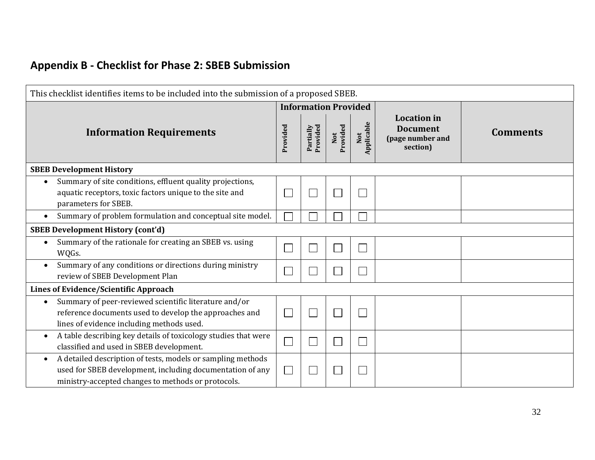| This checklist identifies items to be included into the submission of a proposed SBEB.                                                                                         |                          |                       |                 |                   |                                                                       |                 |  |  |  |  |
|--------------------------------------------------------------------------------------------------------------------------------------------------------------------------------|--------------------------|-----------------------|-----------------|-------------------|-----------------------------------------------------------------------|-----------------|--|--|--|--|
|                                                                                                                                                                                |                          |                       |                 |                   |                                                                       |                 |  |  |  |  |
| <b>Information Requirements</b>                                                                                                                                                | Provided                 | Provided<br>Partially | Not<br>Provided | Not<br>Applicable | <b>Location</b> in<br><b>Document</b><br>(page number and<br>section) | <b>Comments</b> |  |  |  |  |
| <b>SBEB Development History</b>                                                                                                                                                |                          |                       |                 |                   |                                                                       |                 |  |  |  |  |
| Summary of site conditions, effluent quality projections,<br>aquatic receptors, toxic factors unique to the site and<br>parameters for SBEB.                                   |                          |                       |                 |                   |                                                                       |                 |  |  |  |  |
| Summary of problem formulation and conceptual site model.<br>$\bullet$                                                                                                         |                          |                       |                 |                   |                                                                       |                 |  |  |  |  |
| <b>SBEB Development History (cont'd)</b>                                                                                                                                       |                          |                       |                 |                   |                                                                       |                 |  |  |  |  |
| Summary of the rationale for creating an SBEB vs. using<br>WQGs.                                                                                                               |                          |                       |                 |                   |                                                                       |                 |  |  |  |  |
| Summary of any conditions or directions during ministry<br>review of SBEB Development Plan                                                                                     |                          |                       |                 |                   |                                                                       |                 |  |  |  |  |
| Lines of Evidence/Scientific Approach                                                                                                                                          |                          |                       |                 |                   |                                                                       |                 |  |  |  |  |
| Summary of peer-reviewed scientific literature and/or<br>reference documents used to develop the approaches and<br>lines of evidence including methods used.                   |                          |                       |                 |                   |                                                                       |                 |  |  |  |  |
| A table describing key details of toxicology studies that were<br>$\bullet$<br>classified and used in SBEB development.                                                        | $\overline{\phantom{a}}$ |                       |                 |                   |                                                                       |                 |  |  |  |  |
| A detailed description of tests, models or sampling methods<br>used for SBEB development, including documentation of any<br>ministry-accepted changes to methods or protocols. |                          |                       |                 |                   |                                                                       |                 |  |  |  |  |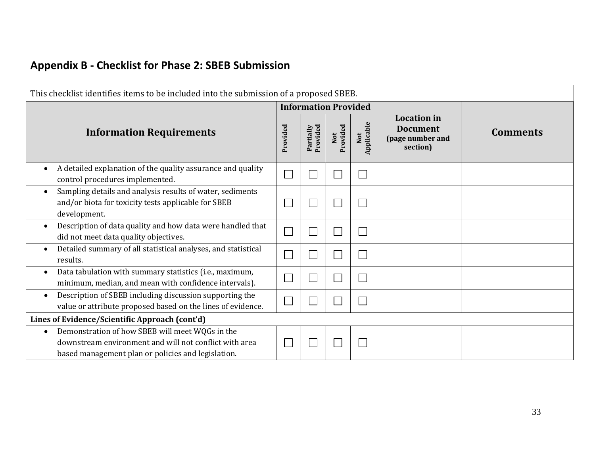| This checklist identifies items to be included into the submission of a proposed SBEB.                                                                          |          |                       |                 |                   |                                                                       |                 |  |  |  |
|-----------------------------------------------------------------------------------------------------------------------------------------------------------------|----------|-----------------------|-----------------|-------------------|-----------------------------------------------------------------------|-----------------|--|--|--|
|                                                                                                                                                                 |          |                       |                 |                   |                                                                       |                 |  |  |  |
| <b>Information Requirements</b>                                                                                                                                 | Provided | Provided<br>Partially | Not<br>Provided | Not<br>Applicable | <b>Location</b> in<br><b>Document</b><br>(page number and<br>section) | <b>Comments</b> |  |  |  |
| A detailed explanation of the quality assurance and quality<br>control procedures implemented.                                                                  |          |                       |                 |                   |                                                                       |                 |  |  |  |
| Sampling details and analysis results of water, sediments<br>and/or biota for toxicity tests applicable for SBEB<br>development.                                |          |                       |                 |                   |                                                                       |                 |  |  |  |
| Description of data quality and how data were handled that<br>did not meet data quality objectives.                                                             |          |                       |                 |                   |                                                                       |                 |  |  |  |
| Detailed summary of all statistical analyses, and statistical<br>results.                                                                                       |          |                       |                 |                   |                                                                       |                 |  |  |  |
| Data tabulation with summary statistics (i.e., maximum,<br>minimum, median, and mean with confidence intervals).                                                |          |                       |                 |                   |                                                                       |                 |  |  |  |
| Description of SBEB including discussion supporting the<br>$\bullet$<br>value or attribute proposed based on the lines of evidence.                             |          |                       |                 |                   |                                                                       |                 |  |  |  |
| Lines of Evidence/Scientific Approach (cont'd)                                                                                                                  |          |                       |                 |                   |                                                                       |                 |  |  |  |
| Demonstration of how SBEB will meet WQGs in the<br>downstream environment and will not conflict with area<br>based management plan or policies and legislation. |          |                       |                 |                   |                                                                       |                 |  |  |  |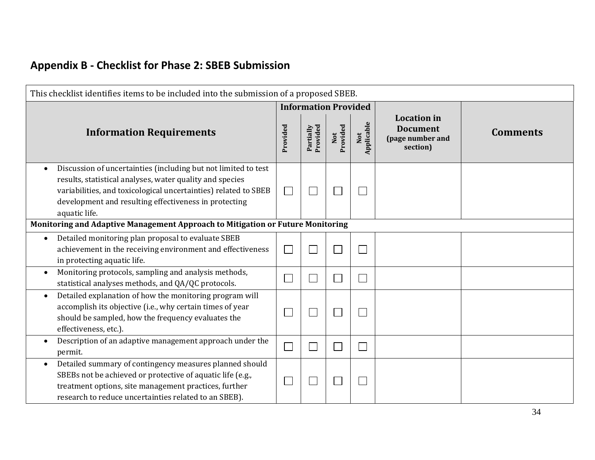| This checklist identifies items to be included into the submission of a proposed SBEB.                                                                                                                           |                                                                                                                                   |                             |                       |                 |                   |                                                                       |                 |  |  |
|------------------------------------------------------------------------------------------------------------------------------------------------------------------------------------------------------------------|-----------------------------------------------------------------------------------------------------------------------------------|-----------------------------|-----------------------|-----------------|-------------------|-----------------------------------------------------------------------|-----------------|--|--|
|                                                                                                                                                                                                                  |                                                                                                                                   |                             |                       |                 |                   |                                                                       |                 |  |  |
| <b>Information Requirements</b>                                                                                                                                                                                  |                                                                                                                                   | Provided                    | Provided<br>Partially | Not<br>Provided | Not<br>Applicable | <b>Location</b> in<br><b>Document</b><br>(page number and<br>section) | <b>Comments</b> |  |  |
| results, statistical analyses, water quality and species<br>development and resulting effectiveness in protecting<br>aquatic life.                                                                               | Discussion of uncertainties (including but not limited to test<br>variabilities, and toxicological uncertainties) related to SBEB | $\mathcal{L}_{\mathcal{A}}$ |                       |                 |                   |                                                                       |                 |  |  |
| Monitoring and Adaptive Management Approach to Mitigation or Future Monitoring                                                                                                                                   |                                                                                                                                   |                             |                       |                 |                   |                                                                       |                 |  |  |
| Detailed monitoring plan proposal to evaluate SBEB<br>in protecting aquatic life.                                                                                                                                | achievement in the receiving environment and effectiveness                                                                        | $\mathcal{L}_{\mathcal{A}}$ |                       |                 |                   |                                                                       |                 |  |  |
| Monitoring protocols, sampling and analysis methods,<br>statistical analyses methods, and QA/QC protocols.                                                                                                       |                                                                                                                                   | $\mathcal{L}_{\mathcal{A}}$ |                       |                 |                   |                                                                       |                 |  |  |
| Detailed explanation of how the monitoring program will<br>$\bullet$<br>accomplish its objective (i.e., why certain times of year<br>should be sampled, how the frequency evaluates the<br>effectiveness, etc.). |                                                                                                                                   |                             |                       |                 |                   |                                                                       |                 |  |  |
| permit.                                                                                                                                                                                                          | Description of an adaptive management approach under the                                                                          |                             |                       |                 |                   |                                                                       |                 |  |  |
| $\bullet$<br>SBEBs not be achieved or protective of aquatic life (e.g.,<br>treatment options, site management practices, further<br>research to reduce uncertainties related to an SBEB).                        | Detailed summary of contingency measures planned should                                                                           |                             |                       |                 |                   |                                                                       |                 |  |  |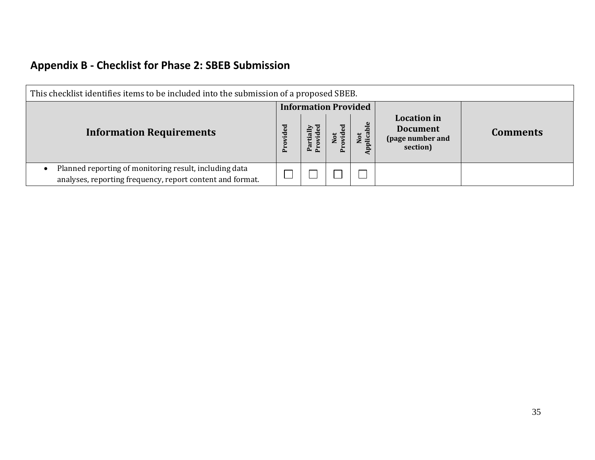| This checklist identifies items to be included into the submission of a proposed SBEB.                                           |  |                             |  |                 |                                                                       |                 |  |
|----------------------------------------------------------------------------------------------------------------------------------|--|-----------------------------|--|-----------------|-----------------------------------------------------------------------|-----------------|--|
| <b>Information Requirements</b>                                                                                                  |  | <b>Information Provided</b> |  | Not<br>plicable | <b>Location</b> in<br><b>Document</b><br>(page number and<br>section) | <b>Comments</b> |  |
| Planned reporting of monitoring result, including data<br>$\bullet$<br>analyses, reporting frequency, report content and format. |  |                             |  |                 |                                                                       |                 |  |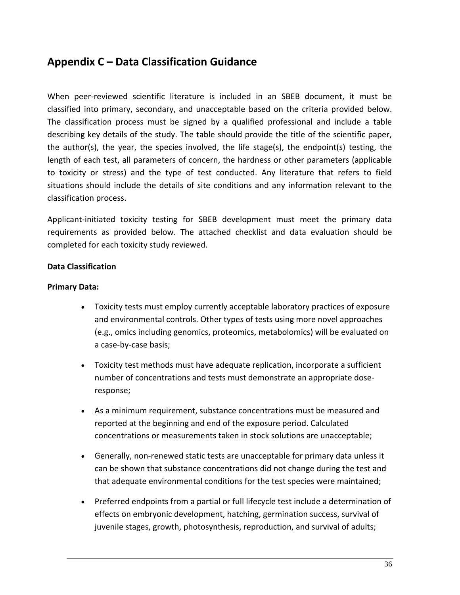### **Appendix C – Data Classification Guidance**

When peer-reviewed scientific literature is included in an SBEB document, it must be classified into primary, secondary, and unacceptable based on the criteria provided below. The classification process must be signed by a qualified professional and include a table describing key details of the study. The table should provide the title of the scientific paper, the author(s), the year, the species involved, the life stage(s), the endpoint(s) testing, the length of each test, all parameters of concern, the hardness or other parameters (applicable to toxicity or stress) and the type of test conducted. Any literature that refers to field situations should include the details of site conditions and any information relevant to the classification process.

Applicant-initiated toxicity testing for SBEB development must meet the primary data requirements as provided below. The attached checklist and data evaluation should be completed for each toxicity study reviewed.

#### **Data Classification**

#### **Primary Data:**

- Toxicity tests must employ currently acceptable laboratory practices of exposure and environmental controls. Other types of tests using more novel approaches (e.g., omics including genomics, proteomics, metabolomics) will be evaluated on a case-by-case basis;
- Toxicity test methods must have adequate replication, incorporate a sufficient number of concentrations and tests must demonstrate an appropriate doseresponse;
- As a minimum requirement, substance concentrations must be measured and reported at the beginning and end of the exposure period. Calculated concentrations or measurements taken in stock solutions are unacceptable;
- Generally, non-renewed static tests are unacceptable for primary data unless it can be shown that substance concentrations did not change during the test and that adequate environmental conditions for the test species were maintained;
- Preferred endpoints from a partial or full lifecycle test include a determination of effects on embryonic development, hatching, germination success, survival of juvenile stages, growth, photosynthesis, reproduction, and survival of adults;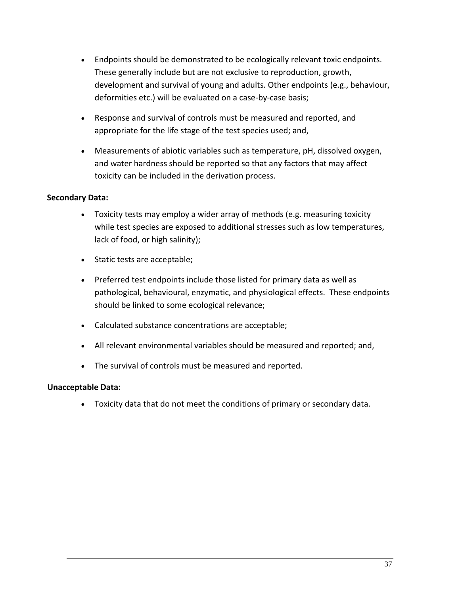- Endpoints should be demonstrated to be ecologically relevant toxic endpoints. These generally include but are not exclusive to reproduction, growth, development and survival of young and adults. Other endpoints (e.g., behaviour, deformities etc.) will be evaluated on a case-by-case basis;
- Response and survival of controls must be measured and reported, and appropriate for the life stage of the test species used; and,
- Measurements of abiotic variables such as temperature, pH, dissolved oxygen, and water hardness should be reported so that any factors that may affect toxicity can be included in the derivation process.

#### **Secondary Data:**

- Toxicity tests may employ a wider array of methods (e.g. measuring toxicity while test species are exposed to additional stresses such as low temperatures, lack of food, or high salinity);
- Static tests are acceptable;
- Preferred test endpoints include those listed for primary data as well as pathological, behavioural, enzymatic, and physiological effects. These endpoints should be linked to some ecological relevance;
- Calculated substance concentrations are acceptable;
- All relevant environmental variables should be measured and reported; and,
- The survival of controls must be measured and reported.

#### **Unacceptable Data:**

Toxicity data that do not meet the conditions of primary or secondary data.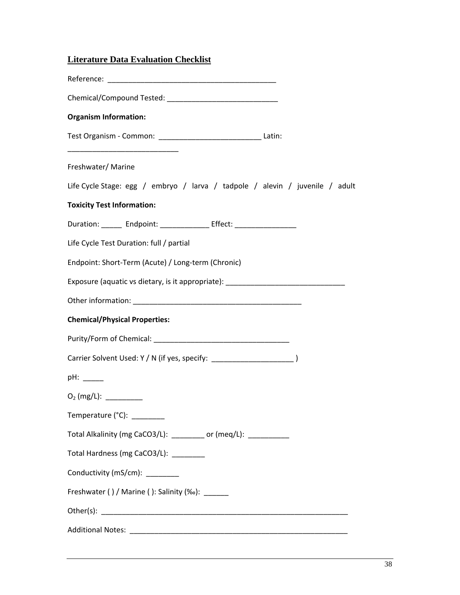#### **Literature Data Evaluation Checklist**

| <b>Organism Information:</b>                                                     |
|----------------------------------------------------------------------------------|
| Test Organism - Common: _______________________________ Latin:                   |
| Freshwater/Marine                                                                |
| Life Cycle Stage: egg / embryo / larva / tadpole / alevin / juvenile / adult     |
| <b>Toxicity Test Information:</b>                                                |
| Duration: ______ Endpoint: ______________ Effect: ______________________________ |
| Life Cycle Test Duration: full / partial                                         |
| Endpoint: Short-Term (Acute) / Long-term (Chronic)                               |
| Exposure (aquatic vs dietary, is it appropriate): ______________________________ |
|                                                                                  |
| <b>Chemical/Physical Properties:</b>                                             |
|                                                                                  |
| Carrier Solvent Used: Y / N (if yes, specify: __________________________________ |
|                                                                                  |
| $O2$ (mg/L): _________                                                           |
| Temperature (°C): $\frac{1}{\sqrt{1-\frac{1}{2}}}\$                              |
| Total Alkalinity (mg CaCO3/L): _________ or (meq/L): ___________                 |
| Total Hardness (mg CaCO3/L): _________                                           |
| Conductivity (mS/cm): ________                                                   |
| Freshwater () / Marine (): Salinity (‰): ______                                  |
|                                                                                  |
|                                                                                  |
|                                                                                  |